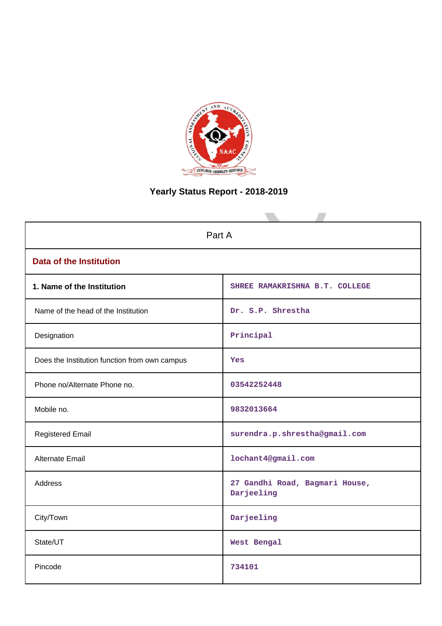

# **Yearly Status Report - 2018-2019**

|                                               | Part A                                       |  |  |  |  |
|-----------------------------------------------|----------------------------------------------|--|--|--|--|
| <b>Data of the Institution</b>                |                                              |  |  |  |  |
| 1. Name of the Institution                    | SHREE RAMAKRISHNA B.T. COLLEGE               |  |  |  |  |
| Name of the head of the Institution           | Dr. S.P. Shrestha                            |  |  |  |  |
| Designation                                   | Principal                                    |  |  |  |  |
| Does the Institution function from own campus | <b>Yes</b>                                   |  |  |  |  |
| Phone no/Alternate Phone no.                  | 03542252448                                  |  |  |  |  |
| Mobile no.                                    | 9832013664                                   |  |  |  |  |
| <b>Registered Email</b>                       | surendra.p.shrestha@gmail.com                |  |  |  |  |
| Alternate Email                               | lochant4@gmail.com                           |  |  |  |  |
| <b>Address</b>                                | 27 Gandhi Road, Bagmari House,<br>Darjeeling |  |  |  |  |
| City/Town                                     | Darjeeling                                   |  |  |  |  |
| State/UT                                      | West Bengal                                  |  |  |  |  |
| Pincode                                       | 734101                                       |  |  |  |  |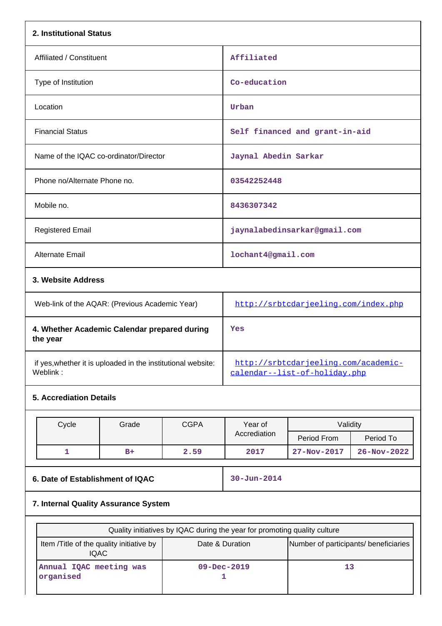|                                                     |                                                                                       | Affiliated                                                                                                                                                                                                                                                      |                                                         |                                                                                                                                                                                                                                                               |  |
|-----------------------------------------------------|---------------------------------------------------------------------------------------|-----------------------------------------------------------------------------------------------------------------------------------------------------------------------------------------------------------------------------------------------------------------|---------------------------------------------------------|---------------------------------------------------------------------------------------------------------------------------------------------------------------------------------------------------------------------------------------------------------------|--|
|                                                     |                                                                                       | Co-education                                                                                                                                                                                                                                                    |                                                         |                                                                                                                                                                                                                                                               |  |
| Location                                            |                                                                                       |                                                                                                                                                                                                                                                                 |                                                         |                                                                                                                                                                                                                                                               |  |
| <b>Financial Status</b>                             |                                                                                       |                                                                                                                                                                                                                                                                 |                                                         |                                                                                                                                                                                                                                                               |  |
|                                                     |                                                                                       |                                                                                                                                                                                                                                                                 |                                                         |                                                                                                                                                                                                                                                               |  |
|                                                     |                                                                                       | 03542252448                                                                                                                                                                                                                                                     |                                                         |                                                                                                                                                                                                                                                               |  |
|                                                     |                                                                                       | 8436307342                                                                                                                                                                                                                                                      |                                                         |                                                                                                                                                                                                                                                               |  |
| <b>Registered Email</b>                             |                                                                                       |                                                                                                                                                                                                                                                                 |                                                         |                                                                                                                                                                                                                                                               |  |
| Alternate Email                                     |                                                                                       |                                                                                                                                                                                                                                                                 |                                                         |                                                                                                                                                                                                                                                               |  |
|                                                     |                                                                                       |                                                                                                                                                                                                                                                                 |                                                         |                                                                                                                                                                                                                                                               |  |
|                                                     |                                                                                       | http://srbtcdarjeeling.com/index.php                                                                                                                                                                                                                            |                                                         |                                                                                                                                                                                                                                                               |  |
|                                                     |                                                                                       | Yes<br>http://srbtcdarjeeling.com/academic-<br>calendar--list-of-holiday.php                                                                                                                                                                                    |                                                         |                                                                                                                                                                                                                                                               |  |
|                                                     |                                                                                       |                                                                                                                                                                                                                                                                 |                                                         |                                                                                                                                                                                                                                                               |  |
|                                                     |                                                                                       |                                                                                                                                                                                                                                                                 |                                                         |                                                                                                                                                                                                                                                               |  |
|                                                     |                                                                                       |                                                                                                                                                                                                                                                                 |                                                         |                                                                                                                                                                                                                                                               |  |
|                                                     |                                                                                       | Accrediation                                                                                                                                                                                                                                                    |                                                         | Period To                                                                                                                                                                                                                                                     |  |
|                                                     | 2.59                                                                                  | 2017                                                                                                                                                                                                                                                            | 27-Nov-2017                                             | 26-Nov-2022                                                                                                                                                                                                                                                   |  |
|                                                     |                                                                                       | $30 - Jun - 2014$                                                                                                                                                                                                                                               |                                                         |                                                                                                                                                                                                                                                               |  |
|                                                     |                                                                                       |                                                                                                                                                                                                                                                                 |                                                         |                                                                                                                                                                                                                                                               |  |
|                                                     |                                                                                       |                                                                                                                                                                                                                                                                 |                                                         |                                                                                                                                                                                                                                                               |  |
|                                                     |                                                                                       |                                                                                                                                                                                                                                                                 |                                                         |                                                                                                                                                                                                                                                               |  |
| <b>IQAC</b><br>Annual IQAC meeting was<br>organised |                                                                                       |                                                                                                                                                                                                                                                                 | 13                                                      |                                                                                                                                                                                                                                                               |  |
|                                                     | Grade<br>6. Date of Establishment of IQAC<br>Item /Title of the quality initiative by | Name of the IQAC co-ordinator/Director<br>Web-link of the AQAR: (Previous Academic Year)<br>4. Whether Academic Calendar prepared during<br>if yes, whether it is uploaded in the institutional website:<br><b>CGPA</b><br>7. Internal Quality Assurance System | Urban<br>Year of<br>Date & Duration<br>09-Dec-2019<br>1 | Self financed and grant-in-aid<br>Jaynal Abedin Sarkar<br>jaynalabedinsarkar@gmail.com<br>lochant4@gmail.com<br>Validity<br>Period From<br>Quality initiatives by IQAC during the year for promoting quality culture<br>Number of participants/ beneficiaries |  |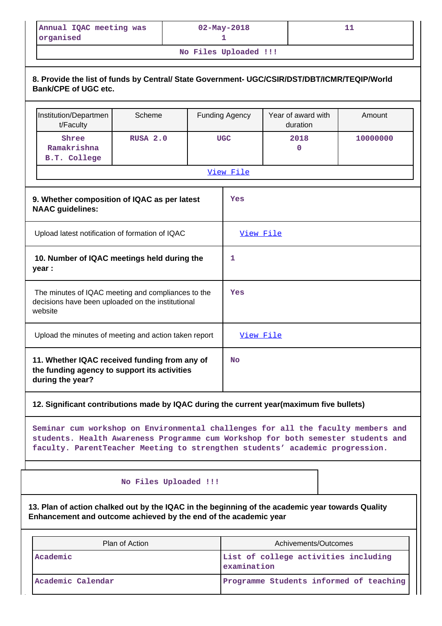| Annual IQAC meeting was<br>organised                                                                                                                                                                                    |          | $02 - May - 2018$<br>ı |                       | 11       |  |  |
|-------------------------------------------------------------------------------------------------------------------------------------------------------------------------------------------------------------------------|----------|------------------------|-----------------------|----------|--|--|
|                                                                                                                                                                                                                         |          | No Files Uploaded !!!  |                       |          |  |  |
| 8. Provide the list of funds by Central/ State Government- UGC/CSIR/DST/DBT/ICMR/TEQIP/World<br><b>Bank/CPE of UGC etc.</b><br>Year of award with<br>Institution/Departmen<br>Scheme<br><b>Funding Agency</b><br>Amount |          |                        |                       |          |  |  |
|                                                                                                                                                                                                                         |          |                        |                       |          |  |  |
| t/Faculty<br>Shree<br>Ramakrishna<br>B.T. College                                                                                                                                                                       | RUSA 2.0 | <b>UGC</b>             | duration<br>2018<br>0 | 10000000 |  |  |

| 3. WHENIEL COMPOSITION OF IGAC AS DELIATEST<br><b>NAAC</b> guidelines:                                             | ᆠᄃᇢ              |
|--------------------------------------------------------------------------------------------------------------------|------------------|
| Upload latest notification of formation of IQAC                                                                    | <u>View File</u> |
| 10. Number of IQAC meetings held during the<br>year :                                                              | 1                |
| The minutes of IQAC meeting and compliances to the<br>decisions have been uploaded on the institutional<br>website | Yes              |
| Upload the minutes of meeting and action taken report                                                              | <u>View File</u> |
| 11. Whether IQAC received funding from any of<br>the funding agency to support its activities<br>during the year?  | <b>No</b>        |

# **12. Significant contributions made by IQAC during the current year(maximum five bullets)**

**Seminar cum workshop on Environmental challenges for all the faculty members and students. Health Awareness Programme cum Workshop for both semester students and faculty. ParentTeacher Meeting to strengthen students' academic progression.**

 **No Files Uploaded !!!**

**13. Plan of action chalked out by the IQAC in the beginning of the academic year towards Quality Enhancement and outcome achieved by the end of the academic year**

| Plan of Action    | Achivements/Outcomes                                |
|-------------------|-----------------------------------------------------|
| Academic          | List of college activities including<br>examination |
| Academic Calendar | Programme Students informed of teaching             |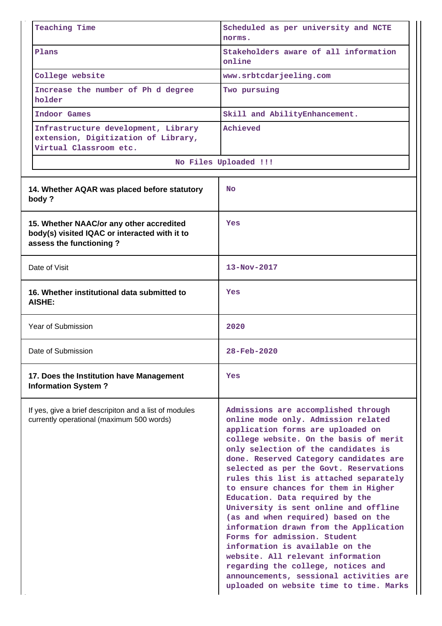| <b>Teaching Time</b>                                                                                                 | Scheduled as per university and NCTE<br>norms.                                                                                                                                                                                                                                                                                                                                                                                                                                                                                                                                                                                                                                                                                                                          |
|----------------------------------------------------------------------------------------------------------------------|-------------------------------------------------------------------------------------------------------------------------------------------------------------------------------------------------------------------------------------------------------------------------------------------------------------------------------------------------------------------------------------------------------------------------------------------------------------------------------------------------------------------------------------------------------------------------------------------------------------------------------------------------------------------------------------------------------------------------------------------------------------------------|
| Plans                                                                                                                | Stakeholders aware of all information<br>online                                                                                                                                                                                                                                                                                                                                                                                                                                                                                                                                                                                                                                                                                                                         |
| College website                                                                                                      | www.srbtcdarjeeling.com                                                                                                                                                                                                                                                                                                                                                                                                                                                                                                                                                                                                                                                                                                                                                 |
| Increase the number of Ph d degree<br>holder                                                                         | Two pursuing                                                                                                                                                                                                                                                                                                                                                                                                                                                                                                                                                                                                                                                                                                                                                            |
| Indoor Games                                                                                                         | Skill and AbilityEnhancement.                                                                                                                                                                                                                                                                                                                                                                                                                                                                                                                                                                                                                                                                                                                                           |
| Infrastructure development, Library<br>extension, Digitization of Library,<br>Virtual Classroom etc.                 | Achieved                                                                                                                                                                                                                                                                                                                                                                                                                                                                                                                                                                                                                                                                                                                                                                |
|                                                                                                                      | No Files Uploaded !!!                                                                                                                                                                                                                                                                                                                                                                                                                                                                                                                                                                                                                                                                                                                                                   |
| 14. Whether AQAR was placed before statutory<br>body?                                                                | <b>No</b>                                                                                                                                                                                                                                                                                                                                                                                                                                                                                                                                                                                                                                                                                                                                                               |
| 15. Whether NAAC/or any other accredited<br>body(s) visited IQAC or interacted with it to<br>assess the functioning? | Yes                                                                                                                                                                                                                                                                                                                                                                                                                                                                                                                                                                                                                                                                                                                                                                     |
| Date of Visit                                                                                                        | $13 - Nov - 2017$                                                                                                                                                                                                                                                                                                                                                                                                                                                                                                                                                                                                                                                                                                                                                       |
| 16. Whether institutional data submitted to<br>AISHE:                                                                | Yes                                                                                                                                                                                                                                                                                                                                                                                                                                                                                                                                                                                                                                                                                                                                                                     |
| Year of Submission                                                                                                   | 2020                                                                                                                                                                                                                                                                                                                                                                                                                                                                                                                                                                                                                                                                                                                                                                    |
| Date of Submission                                                                                                   | 28-Feb-2020                                                                                                                                                                                                                                                                                                                                                                                                                                                                                                                                                                                                                                                                                                                                                             |
| 17. Does the Institution have Management<br><b>Information System?</b>                                               | Yes                                                                                                                                                                                                                                                                                                                                                                                                                                                                                                                                                                                                                                                                                                                                                                     |
| If yes, give a brief descripiton and a list of modules<br>currently operational (maximum 500 words)                  | Admissions are accomplished through<br>online mode only. Admission related<br>application forms are uploaded on<br>college website. On the basis of merit<br>only selection of the candidates is<br>done. Reserved Category candidates are<br>selected as per the Govt. Reservations<br>rules this list is attached separately<br>to ensure chances for them in Higher<br>Education. Data required by the<br>University is sent online and offline<br>(as and when required) based on the<br>information drawn from the Application<br>Forms for admission. Student<br>information is available on the<br>website. All relevant information<br>regarding the college, notices and<br>announcements, sessional activities are<br>uploaded on website time to time. Marks |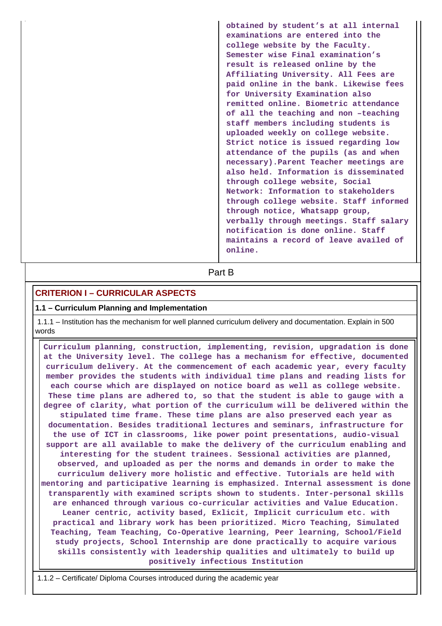**obtained by student's at all internal examinations are entered into the college website by the Faculty. Semester wise Final examination's result is released online by the Affiliating University. All Fees are paid online in the bank. Likewise fees for University Examination also remitted online. Biometric attendance of all the teaching and non –teaching staff members including students is uploaded weekly on college website. Strict notice is issued regarding low attendance of the pupils (as and when necessary).Parent Teacher meetings are also held. Information is disseminated through college website, Social Network: Information to stakeholders through college website. Staff informed through notice, Whatsapp group, verbally through meetings. Staff salary notification is done online. Staff maintains a record of leave availed of online.**

**Part B** 

# **CRITERION I – CURRICULAR ASPECTS**

#### **1.1 – Curriculum Planning and Implementation**

 1.1.1 – Institution has the mechanism for well planned curriculum delivery and documentation. Explain in 500 words

 **Curriculum planning, construction, implementing, revision, upgradation is done at the University level. The college has a mechanism for effective, documented curriculum delivery. At the commencement of each academic year, every faculty member provides the students with individual time plans and reading lists for each course which are displayed on notice board as well as college website. These time plans are adhered to, so that the student is able to gauge with a degree of clarity, what portion of the curriculum will be delivered within the stipulated time frame. These time plans are also preserved each year as documentation. Besides traditional lectures and seminars, infrastructure for the use of ICT in classrooms, like power point presentations, audio-visual support are all available to make the delivery of the curriculum enabling and interesting for the student trainees. Sessional activities are planned, observed, and uploaded as per the norms and demands in order to make the curriculum delivery more holistic and effective. Tutorials are held with mentoring and participative learning is emphasized. Internal assessment is done transparently with examined scripts shown to students. Inter-personal skills are enhanced through various co-curricular activities and Value Education. Leaner centric, activity based, Exlicit, Implicit curriculum etc. with practical and library work has been prioritized. Micro Teaching, Simulated Teaching, Team Teaching, Co-Operative learning, Peer learning, School/Field study projects, School Internship are done practically to acquire various skills consistently with leadership qualities and ultimately to build up positively infectious Institution**

1.1.2 – Certificate/ Diploma Courses introduced during the academic year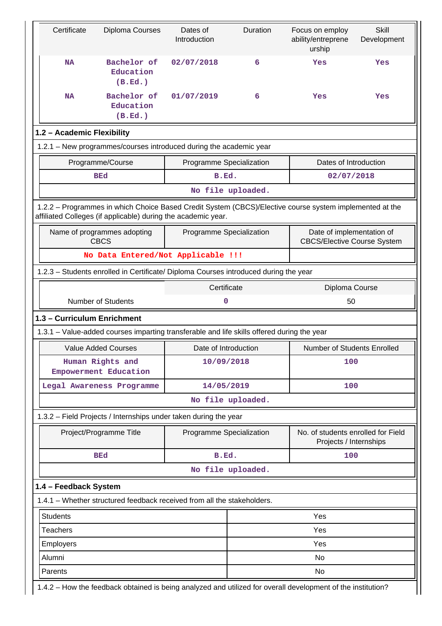| Certificate                                                                                                                               | Diploma Courses                                                                            | Dates of<br>Introduction | Duration                       | Focus on employ<br>ability/entreprene<br>urship                                                         | <b>Skill</b><br>Development |  |  |  |
|-------------------------------------------------------------------------------------------------------------------------------------------|--------------------------------------------------------------------------------------------|--------------------------|--------------------------------|---------------------------------------------------------------------------------------------------------|-----------------------------|--|--|--|
| <b>NA</b>                                                                                                                                 | Bachelor of<br>Education<br>(B.Ed.)                                                        | 02/07/2018               | 6                              | Yes                                                                                                     | Yes                         |  |  |  |
| <b>NA</b>                                                                                                                                 | Bachelor of<br>Education<br>(B.Ed.)                                                        | 01/07/2019               | 6                              | Yes                                                                                                     | Yes                         |  |  |  |
| 1.2 - Academic Flexibility                                                                                                                |                                                                                            |                          |                                |                                                                                                         |                             |  |  |  |
|                                                                                                                                           | 1.2.1 - New programmes/courses introduced during the academic year                         |                          |                                |                                                                                                         |                             |  |  |  |
|                                                                                                                                           | Programme/Course                                                                           | Programme Specialization |                                | Dates of Introduction                                                                                   |                             |  |  |  |
|                                                                                                                                           | <b>BEd</b>                                                                                 | B.Ed.                    |                                | 02/07/2018                                                                                              |                             |  |  |  |
|                                                                                                                                           |                                                                                            |                          | No file uploaded.              |                                                                                                         |                             |  |  |  |
|                                                                                                                                           | affiliated Colleges (if applicable) during the academic year.                              |                          |                                | 1.2.2 - Programmes in which Choice Based Credit System (CBCS)/Elective course system implemented at the |                             |  |  |  |
| Date of implementation of<br>Name of programmes adopting<br>Programme Specialization<br><b>CBCS</b><br><b>CBCS/Elective Course System</b> |                                                                                            |                          |                                |                                                                                                         |                             |  |  |  |
|                                                                                                                                           | No Data Entered/Not Applicable !!!                                                         |                          |                                |                                                                                                         |                             |  |  |  |
|                                                                                                                                           | 1.2.3 - Students enrolled in Certificate/ Diploma Courses introduced during the year       |                          |                                |                                                                                                         |                             |  |  |  |
| Certificate<br>Diploma Course                                                                                                             |                                                                                            |                          |                                |                                                                                                         |                             |  |  |  |
|                                                                                                                                           |                                                                                            |                          | <b>Number of Students</b><br>0 |                                                                                                         |                             |  |  |  |
|                                                                                                                                           |                                                                                            |                          |                                | 50                                                                                                      |                             |  |  |  |
| 1.3 - Curriculum Enrichment                                                                                                               |                                                                                            |                          |                                |                                                                                                         |                             |  |  |  |
|                                                                                                                                           | 1.3.1 – Value-added courses imparting transferable and life skills offered during the year |                          |                                |                                                                                                         |                             |  |  |  |
|                                                                                                                                           | <b>Value Added Courses</b>                                                                 | Date of Introduction     |                                | Number of Students Enrolled                                                                             |                             |  |  |  |
|                                                                                                                                           | Human Rights and<br>Empowerment Education                                                  | 10/09/2018               |                                | 100                                                                                                     |                             |  |  |  |
|                                                                                                                                           | Legal Awareness Programme                                                                  | 14/05/2019               |                                | 100                                                                                                     |                             |  |  |  |
|                                                                                                                                           |                                                                                            |                          | No file uploaded.              |                                                                                                         |                             |  |  |  |
|                                                                                                                                           | 1.3.2 - Field Projects / Internships under taken during the year                           |                          |                                |                                                                                                         |                             |  |  |  |
|                                                                                                                                           | Project/Programme Title                                                                    | Programme Specialization |                                | No. of students enrolled for Field<br>Projects / Internships                                            |                             |  |  |  |
|                                                                                                                                           | <b>BEd</b>                                                                                 | B.Ed.                    |                                | 100                                                                                                     |                             |  |  |  |
|                                                                                                                                           |                                                                                            |                          | No file uploaded.              |                                                                                                         |                             |  |  |  |
| 1.4 - Feedback System                                                                                                                     |                                                                                            |                          |                                |                                                                                                         |                             |  |  |  |
|                                                                                                                                           | 1.4.1 – Whether structured feedback received from all the stakeholders.                    |                          |                                |                                                                                                         |                             |  |  |  |
| <b>Students</b>                                                                                                                           |                                                                                            |                          |                                | Yes                                                                                                     |                             |  |  |  |
| <b>Teachers</b>                                                                                                                           |                                                                                            |                          |                                | Yes                                                                                                     |                             |  |  |  |
| Employers                                                                                                                                 |                                                                                            |                          |                                | Yes                                                                                                     |                             |  |  |  |
| Alumni                                                                                                                                    |                                                                                            |                          |                                | No                                                                                                      |                             |  |  |  |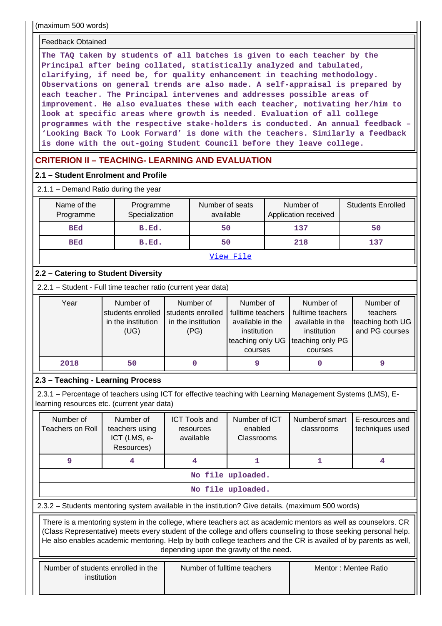(maximum 500 words)

#### Feedback Obtained

**The TAQ taken by students of all batches is given to each teacher by the Principal after being collated, statistically analyzed and tabulated, clarifying, if need be, for quality enhancement in teaching methodology. Observations on general trends are also made. A self-appraisal is prepared by each teacher. The Principal intervenes and addresses possible areas of improvement. He also evaluates these with each teacher, motivating her/him to look at specific areas where growth is needed. Evaluation of all college programmes with the respective stake-holders is conducted. An annual feedback – 'Looking Back To Look Forward' is done with the teachers. Similarly a feedback is done with the out-going Student Council before they leave college.**

# **CRITERION II – TEACHING- LEARNING AND EVALUATION**

#### **2.1 – Student Enrolment and Profile**

#### 2.1.1 – Demand Ratio during the year

| Name of the<br>Programme | Programme<br>Specialization | Number of seats<br>available | Number of<br>Application received | <b>Students Enrolled</b> |
|--------------------------|-----------------------------|------------------------------|-----------------------------------|--------------------------|
| <b>BEd</b>               | B.Ed.                       | 50                           | 137                               | 50                       |
| <b>BEd</b>               | B.Ed.                       | 50                           | 218                               | 137                      |
|                          |                             | View File                    |                                   |                          |

# **2.2 – Catering to Student Diversity**

2.2.1 – Student - Full time teacher ratio (current year data)

| Year | Number of          | Number of          | Number of                          | Number of         | Number of        |
|------|--------------------|--------------------|------------------------------------|-------------------|------------------|
|      | students enrolled  | students enrolled  | fulltime teachers                  | fulltime teachers | teachers         |
|      | in the institution | in the institution | available in the                   | available in the  | teaching both UG |
|      | (UG)               | (PG)               | institution                        | institution       | and PG courses   |
|      |                    |                    | teaching only UG Iteaching only PG |                   |                  |
|      |                    |                    | courses                            | courses           |                  |
| 2018 | 50                 |                    |                                    |                   |                  |

# **2.3 – Teaching - Learning Process**

 2.3.1 – Percentage of teachers using ICT for effective teaching with Learning Management Systems (LMS), Elearning resources etc. (current year data)

| Number of<br>Teachers on Roll                                                                     |  | Number of<br>teachers using<br>ICT (LMS, e-<br>Resources) | <b>ICT Tools and</b><br>resources<br>available | Number of ICT<br>enabled<br>Classrooms | Numberof smart<br>classrooms                                                                                                                                                                                                                                                                                                                      | E-resources and<br>techniques used |  |  |
|---------------------------------------------------------------------------------------------------|--|-----------------------------------------------------------|------------------------------------------------|----------------------------------------|---------------------------------------------------------------------------------------------------------------------------------------------------------------------------------------------------------------------------------------------------------------------------------------------------------------------------------------------------|------------------------------------|--|--|
| 9                                                                                                 |  | 4                                                         | 4                                              | 1                                      |                                                                                                                                                                                                                                                                                                                                                   | 4                                  |  |  |
|                                                                                                   |  |                                                           |                                                | No file uploaded.                      |                                                                                                                                                                                                                                                                                                                                                   |                                    |  |  |
|                                                                                                   |  |                                                           |                                                | No file uploaded.                      |                                                                                                                                                                                                                                                                                                                                                   |                                    |  |  |
| 2.3.2 – Students mentoring system available in the institution? Give details. (maximum 500 words) |  |                                                           |                                                |                                        |                                                                                                                                                                                                                                                                                                                                                   |                                    |  |  |
|                                                                                                   |  |                                                           |                                                |                                        |                                                                                                                                                                                                                                                                                                                                                   |                                    |  |  |
|                                                                                                   |  |                                                           | depending upon the gravity of the need.        |                                        | There is a mentoring system in the college, where teachers act as academic mentors as well as counselors. CR<br>(Class Representative) meets every student of the college and offers counseling to those seeking personal help.<br>He also enables academic mentoring. Help by both college teachers and the CR is availed of by parents as well, |                                    |  |  |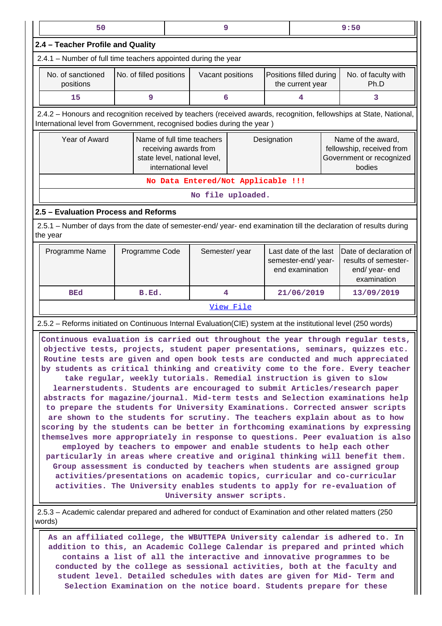|                                                                | 9<br>50<br>9:50                                                                                                                                                                                                                                                                                                                                                                                                                                                                                                                                                                                                                                                                                                                                                                                                                                                                                                                                                                                                                                                                                                                                                                                                                                                                                                                                         |                |  |                                    |           |                                                                |                                                                                       |                                                                                 |                                                                                                                     |
|----------------------------------------------------------------|---------------------------------------------------------------------------------------------------------------------------------------------------------------------------------------------------------------------------------------------------------------------------------------------------------------------------------------------------------------------------------------------------------------------------------------------------------------------------------------------------------------------------------------------------------------------------------------------------------------------------------------------------------------------------------------------------------------------------------------------------------------------------------------------------------------------------------------------------------------------------------------------------------------------------------------------------------------------------------------------------------------------------------------------------------------------------------------------------------------------------------------------------------------------------------------------------------------------------------------------------------------------------------------------------------------------------------------------------------|----------------|--|------------------------------------|-----------|----------------------------------------------------------------|---------------------------------------------------------------------------------------|---------------------------------------------------------------------------------|---------------------------------------------------------------------------------------------------------------------|
| 2.4 - Teacher Profile and Quality                              |                                                                                                                                                                                                                                                                                                                                                                                                                                                                                                                                                                                                                                                                                                                                                                                                                                                                                                                                                                                                                                                                                                                                                                                                                                                                                                                                                         |                |  |                                    |           |                                                                |                                                                                       |                                                                                 |                                                                                                                     |
| 2.4.1 - Number of full time teachers appointed during the year |                                                                                                                                                                                                                                                                                                                                                                                                                                                                                                                                                                                                                                                                                                                                                                                                                                                                                                                                                                                                                                                                                                                                                                                                                                                                                                                                                         |                |  |                                    |           |                                                                |                                                                                       |                                                                                 |                                                                                                                     |
|                                                                | No. of sanctioned<br>No. of filled positions<br>Positions filled during<br>Vacant positions<br>positions<br>the current year                                                                                                                                                                                                                                                                                                                                                                                                                                                                                                                                                                                                                                                                                                                                                                                                                                                                                                                                                                                                                                                                                                                                                                                                                            |                |  |                                    |           | No. of faculty with<br>Ph.D                                    |                                                                                       |                                                                                 |                                                                                                                     |
|                                                                | 15                                                                                                                                                                                                                                                                                                                                                                                                                                                                                                                                                                                                                                                                                                                                                                                                                                                                                                                                                                                                                                                                                                                                                                                                                                                                                                                                                      | 9              |  | 6                                  |           |                                                                | 4                                                                                     |                                                                                 | 3                                                                                                                   |
|                                                                | International level from Government, recognised bodies during the year)                                                                                                                                                                                                                                                                                                                                                                                                                                                                                                                                                                                                                                                                                                                                                                                                                                                                                                                                                                                                                                                                                                                                                                                                                                                                                 |                |  |                                    |           |                                                                |                                                                                       |                                                                                 | 2.4.2 - Honours and recognition received by teachers (received awards, recognition, fellowships at State, National, |
|                                                                | Year of Award<br>Name of full time teachers<br>Designation<br>receiving awards from<br>state level, national level,<br>international level                                                                                                                                                                                                                                                                                                                                                                                                                                                                                                                                                                                                                                                                                                                                                                                                                                                                                                                                                                                                                                                                                                                                                                                                              |                |  |                                    |           |                                                                | Name of the award,<br>fellowship, received from<br>Government or recognized<br>bodies |                                                                                 |                                                                                                                     |
|                                                                |                                                                                                                                                                                                                                                                                                                                                                                                                                                                                                                                                                                                                                                                                                                                                                                                                                                                                                                                                                                                                                                                                                                                                                                                                                                                                                                                                         |                |  | No Data Entered/Not Applicable !!! |           |                                                                |                                                                                       |                                                                                 |                                                                                                                     |
|                                                                |                                                                                                                                                                                                                                                                                                                                                                                                                                                                                                                                                                                                                                                                                                                                                                                                                                                                                                                                                                                                                                                                                                                                                                                                                                                                                                                                                         |                |  | No file uploaded.                  |           |                                                                |                                                                                       |                                                                                 |                                                                                                                     |
|                                                                | 2.5 - Evaluation Process and Reforms                                                                                                                                                                                                                                                                                                                                                                                                                                                                                                                                                                                                                                                                                                                                                                                                                                                                                                                                                                                                                                                                                                                                                                                                                                                                                                                    |                |  |                                    |           |                                                                |                                                                                       |                                                                                 |                                                                                                                     |
|                                                                | 2.5.1 – Number of days from the date of semester-end/ year- end examination till the declaration of results during<br>the year                                                                                                                                                                                                                                                                                                                                                                                                                                                                                                                                                                                                                                                                                                                                                                                                                                                                                                                                                                                                                                                                                                                                                                                                                          |                |  |                                    |           |                                                                |                                                                                       |                                                                                 |                                                                                                                     |
|                                                                | Programme Name                                                                                                                                                                                                                                                                                                                                                                                                                                                                                                                                                                                                                                                                                                                                                                                                                                                                                                                                                                                                                                                                                                                                                                                                                                                                                                                                          | Programme Code |  | Semester/year                      |           | Last date of the last<br>semester-end/year-<br>end examination |                                                                                       | Date of declaration of<br>results of semester-<br>end/ year- end<br>examination |                                                                                                                     |
|                                                                | BEd                                                                                                                                                                                                                                                                                                                                                                                                                                                                                                                                                                                                                                                                                                                                                                                                                                                                                                                                                                                                                                                                                                                                                                                                                                                                                                                                                     | B.Ed.          |  | 4                                  |           |                                                                | 21/06/2019                                                                            |                                                                                 | 13/09/2019                                                                                                          |
|                                                                |                                                                                                                                                                                                                                                                                                                                                                                                                                                                                                                                                                                                                                                                                                                                                                                                                                                                                                                                                                                                                                                                                                                                                                                                                                                                                                                                                         |                |  |                                    | View File |                                                                |                                                                                       |                                                                                 |                                                                                                                     |
|                                                                | 2.5.2 - Reforms initiated on Continuous Internal Evaluation(CIE) system at the institutional level (250 words)                                                                                                                                                                                                                                                                                                                                                                                                                                                                                                                                                                                                                                                                                                                                                                                                                                                                                                                                                                                                                                                                                                                                                                                                                                          |                |  |                                    |           |                                                                |                                                                                       |                                                                                 |                                                                                                                     |
|                                                                | Continuous evaluation is carried out throughout the year through regular tests,<br>objective tests, projects, student paper presentations, seminars, quizzes etc.<br>Routine tests are given and open book tests are conducted and much appreciated<br>by students as critical thinking and creativity come to the fore. Every teacher<br>take regular, weekly tutorials. Remedial instruction is given to slow<br>learnerstudents. Students are encouraged to submit Articles/research paper<br>abstracts for magazine/journal. Mid-term tests and Selection examinations help<br>to prepare the students for University Examinations. Corrected answer scripts<br>are shown to the students for scrutiny. The teachers explain about as to how<br>scoring by the students can be better in forthcoming examinations by expressing<br>themselves more appropriately in response to questions. Peer evaluation is also<br>employed by teachers to empower and enable students to help each other<br>particularly in areas where creative and original thinking will benefit them.<br>Group assessment is conducted by teachers when students are assigned group<br>activities/presentations on academic topics, curricular and co-curricular<br>activities. The University enables students to apply for re-evaluation of<br>University answer scripts. |                |  |                                    |           |                                                                |                                                                                       |                                                                                 |                                                                                                                     |
|                                                                | 2.5.3 - Academic calendar prepared and adhered for conduct of Examination and other related matters (250<br>words)                                                                                                                                                                                                                                                                                                                                                                                                                                                                                                                                                                                                                                                                                                                                                                                                                                                                                                                                                                                                                                                                                                                                                                                                                                      |                |  |                                    |           |                                                                |                                                                                       |                                                                                 |                                                                                                                     |
|                                                                | As an affiliated college, the WBUTTEPA University calendar is adhered to. In                                                                                                                                                                                                                                                                                                                                                                                                                                                                                                                                                                                                                                                                                                                                                                                                                                                                                                                                                                                                                                                                                                                                                                                                                                                                            |                |  |                                    |           |                                                                |                                                                                       |                                                                                 | addition to this, an Academic College Calendar is prepared and printed which                                        |

**addition to this, an Academic College Calendar is prepared and printed which contains a list of all the interactive and innovative programmes to be conducted by the college as sessional activities, both at the faculty and student level. Detailed schedules with dates are given for Mid- Term and Selection Examination on the notice board. Students prepare for these**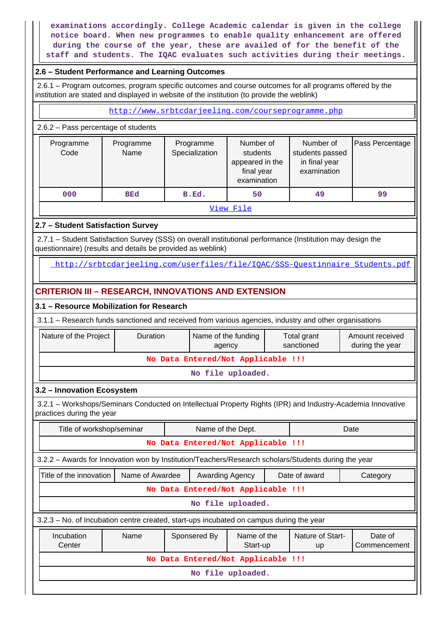**examinations accordingly. College Academic calendar is given in the college notice board. When new programmes to enable quality enhancement are offered during the course of the year, these are availed of for the benefit of the staff and students. The IQAC evaluates such activities during their meetings.**

# **2.6 – Student Performance and Learning Outcomes**

 2.6.1 – Program outcomes, program specific outcomes and course outcomes for all programs offered by the institution are stated and displayed in website of the institution (to provide the weblink)

<http://www.srbtcdarjeeling.com/courseprogramme.php>

#### 2.6.2 – Pass percentage of students

| Programme<br>Code | Programme<br>Name | Programme<br>Specialization | Number of<br>students<br>appeared in the<br>final year<br>examination | Number of<br>students passed<br>in final year<br>examination | Pass Percentage |  |
|-------------------|-------------------|-----------------------------|-----------------------------------------------------------------------|--------------------------------------------------------------|-----------------|--|
| 000               | <b>BEd</b>        | B.Ed.                       | 50                                                                    | 49                                                           | 99              |  |
| View File         |                   |                             |                                                                       |                                                              |                 |  |

# **2.7 – Student Satisfaction Survey**

 2.7.1 – Student Satisfaction Survey (SSS) on overall institutional performance (Institution may design the questionnaire) (results and details be provided as weblink)

http://srbtcdarjeeling.com/userfiles/file/IOAC/SSS-Ouestinnaire\_Students.pdf

# **CRITERION III – RESEARCH, INNOVATIONS AND EXTENSION**

# **3.1 – Resource Mobilization for Research**

3.1.1 – Research funds sanctioned and received from various agencies, industry and other organisations

| Nature of the Project<br>Duration                                                                                                        |                 |  | Name of the funding<br>agency |                                    |  | Total grant<br>sanctioned     |  | Amount received<br>during the year |  |  |  |
|------------------------------------------------------------------------------------------------------------------------------------------|-----------------|--|-------------------------------|------------------------------------|--|-------------------------------|--|------------------------------------|--|--|--|
|                                                                                                                                          |                 |  |                               | No Data Entered/Not Applicable !!! |  |                               |  |                                    |  |  |  |
|                                                                                                                                          |                 |  |                               | No file uploaded.                  |  |                               |  |                                    |  |  |  |
| 3.2 - Innovation Ecosystem                                                                                                               |                 |  |                               |                                    |  |                               |  |                                    |  |  |  |
| 3.2.1 – Workshops/Seminars Conducted on Intellectual Property Rights (IPR) and Industry-Academia Innovative<br>practices during the year |                 |  |                               |                                    |  |                               |  |                                    |  |  |  |
| Title of workshop/seminar<br>Name of the Dept.<br>Date                                                                                   |                 |  |                               |                                    |  |                               |  |                                    |  |  |  |
|                                                                                                                                          |                 |  |                               | No Data Entered/Not Applicable !!! |  |                               |  |                                    |  |  |  |
| 3.2.2 - Awards for Innovation won by Institution/Teachers/Research scholars/Students during the year                                     |                 |  |                               |                                    |  |                               |  |                                    |  |  |  |
| Title of the innovation                                                                                                                  | Name of Awardee |  | Awarding Agency               |                                    |  | Date of award                 |  | Category                           |  |  |  |
|                                                                                                                                          |                 |  |                               | No Data Entered/Not Applicable !!! |  |                               |  |                                    |  |  |  |
|                                                                                                                                          |                 |  |                               | No file uploaded.                  |  |                               |  |                                    |  |  |  |
| 3.2.3 – No. of Incubation centre created, start-ups incubated on campus during the year                                                  |                 |  |                               |                                    |  |                               |  |                                    |  |  |  |
| Incubation<br>Center                                                                                                                     | Name            |  | Sponsered By                  | Name of the<br>Start-up            |  | Nature of Start-<br><b>up</b> |  | Date of<br>Commencement            |  |  |  |
|                                                                                                                                          |                 |  |                               | No Data Entered/Not Applicable !!! |  |                               |  |                                    |  |  |  |
|                                                                                                                                          |                 |  |                               | No file uploaded.                  |  |                               |  |                                    |  |  |  |
|                                                                                                                                          |                 |  |                               |                                    |  |                               |  |                                    |  |  |  |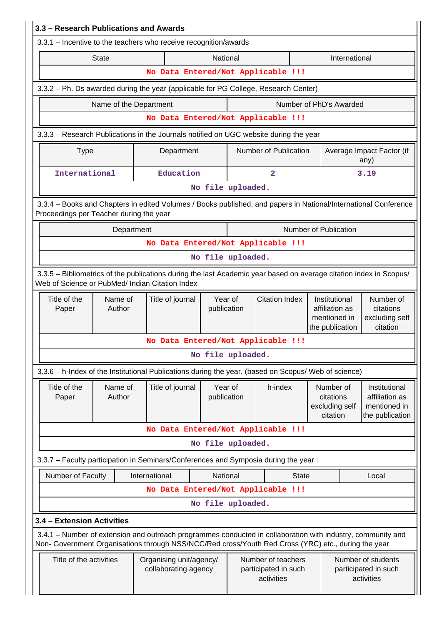| 3.3 - Research Publications and Awards                                                                                                                                                                             |                                                 |                                            |             |                       |                                                          |                                                      |                                                                    |                                                                    |                                                          |  |
|--------------------------------------------------------------------------------------------------------------------------------------------------------------------------------------------------------------------|-------------------------------------------------|--------------------------------------------|-------------|-----------------------|----------------------------------------------------------|------------------------------------------------------|--------------------------------------------------------------------|--------------------------------------------------------------------|----------------------------------------------------------|--|
| 3.3.1 – Incentive to the teachers who receive recognition/awards                                                                                                                                                   |                                                 |                                            |             |                       |                                                          |                                                      |                                                                    |                                                                    |                                                          |  |
| <b>State</b>                                                                                                                                                                                                       |                                                 |                                            | National    |                       |                                                          |                                                      |                                                                    | International                                                      |                                                          |  |
|                                                                                                                                                                                                                    |                                                 |                                            |             |                       | No Data Entered/Not Applicable !!!                       |                                                      |                                                                    |                                                                    |                                                          |  |
| 3.3.2 - Ph. Ds awarded during the year (applicable for PG College, Research Center)                                                                                                                                |                                                 |                                            |             |                       |                                                          |                                                      |                                                                    |                                                                    |                                                          |  |
| Name of the Department                                                                                                                                                                                             |                                                 |                                            |             |                       |                                                          |                                                      | Number of PhD's Awarded                                            |                                                                    |                                                          |  |
|                                                                                                                                                                                                                    |                                                 |                                            |             |                       | No Data Entered/Not Applicable !!!                       |                                                      |                                                                    |                                                                    |                                                          |  |
| 3.3.3 - Research Publications in the Journals notified on UGC website during the year                                                                                                                              |                                                 |                                            |             |                       |                                                          |                                                      |                                                                    |                                                                    |                                                          |  |
| <b>Type</b>                                                                                                                                                                                                        |                                                 | Department                                 |             |                       | <b>Number of Publication</b>                             |                                                      |                                                                    |                                                                    | Average Impact Factor (if<br>any)                        |  |
| International                                                                                                                                                                                                      |                                                 | Education                                  |             |                       | 2                                                        |                                                      |                                                                    |                                                                    | 3.19                                                     |  |
|                                                                                                                                                                                                                    |                                                 |                                            |             | No file uploaded.     |                                                          |                                                      |                                                                    |                                                                    |                                                          |  |
| 3.3.4 – Books and Chapters in edited Volumes / Books published, and papers in National/International Conference<br>Proceedings per Teacher during the year                                                         |                                                 |                                            |             |                       |                                                          |                                                      |                                                                    |                                                                    |                                                          |  |
| Department                                                                                                                                                                                                         |                                                 |                                            |             |                       |                                                          |                                                      | Number of Publication                                              |                                                                    |                                                          |  |
|                                                                                                                                                                                                                    |                                                 |                                            |             |                       | No Data Entered/Not Applicable !!!                       |                                                      |                                                                    |                                                                    |                                                          |  |
|                                                                                                                                                                                                                    |                                                 |                                            |             | No file uploaded.     |                                                          |                                                      |                                                                    |                                                                    |                                                          |  |
| 3.3.5 - Bibliometrics of the publications during the last Academic year based on average citation index in Scopus/<br>Web of Science or PubMed/ Indian Citation Index                                              |                                                 |                                            |             |                       |                                                          |                                                      |                                                                    |                                                                    |                                                          |  |
| Title of the<br>Name of<br>Author<br>Paper                                                                                                                                                                         |                                                 | Year of<br>Title of journal<br>publication |             | <b>Citation Index</b> |                                                          |                                                      | Institutional<br>affiliation as<br>mentioned in<br>the publication |                                                                    | Number of<br>citations<br>excluding self<br>citation     |  |
|                                                                                                                                                                                                                    |                                                 |                                            |             |                       | No Data Entered/Not Applicable !!!                       |                                                      |                                                                    |                                                                    |                                                          |  |
|                                                                                                                                                                                                                    |                                                 |                                            |             | No file uploaded.     |                                                          |                                                      |                                                                    |                                                                    |                                                          |  |
| 3.3.6 - h-Index of the Institutional Publications during the year. (based on Scopus/ Web of science)                                                                                                               |                                                 |                                            |             |                       |                                                          |                                                      |                                                                    |                                                                    |                                                          |  |
| Title of the<br>Name of<br>Author<br>Paper                                                                                                                                                                         | Title of journal                                |                                            | publication | Year of<br>h-index    |                                                          | Number of<br>citations<br>excluding self<br>citation |                                                                    | Institutional<br>affiliation as<br>mentioned in<br>the publication |                                                          |  |
|                                                                                                                                                                                                                    |                                                 |                                            |             |                       | No Data Entered/Not Applicable !!!                       |                                                      |                                                                    |                                                                    |                                                          |  |
|                                                                                                                                                                                                                    |                                                 |                                            |             | No file uploaded.     |                                                          |                                                      |                                                                    |                                                                    |                                                          |  |
| 3.3.7 - Faculty participation in Seminars/Conferences and Symposia during the year:                                                                                                                                |                                                 |                                            |             |                       |                                                          |                                                      |                                                                    |                                                                    |                                                          |  |
| Number of Faculty                                                                                                                                                                                                  | International                                   |                                            | National    |                       |                                                          | <b>State</b>                                         |                                                                    |                                                                    | Local                                                    |  |
|                                                                                                                                                                                                                    |                                                 |                                            |             |                       | No Data Entered/Not Applicable !!!                       |                                                      |                                                                    |                                                                    |                                                          |  |
|                                                                                                                                                                                                                    |                                                 |                                            |             | No file uploaded.     |                                                          |                                                      |                                                                    |                                                                    |                                                          |  |
| 3.4 - Extension Activities                                                                                                                                                                                         |                                                 |                                            |             |                       |                                                          |                                                      |                                                                    |                                                                    |                                                          |  |
| 3.4.1 – Number of extension and outreach programmes conducted in collaboration with industry, community and<br>Non- Government Organisations through NSS/NCC/Red cross/Youth Red Cross (YRC) etc., during the year |                                                 |                                            |             |                       |                                                          |                                                      |                                                                    |                                                                    |                                                          |  |
| Title of the activities                                                                                                                                                                                            | Organising unit/agency/<br>collaborating agency |                                            |             |                       | Number of teachers<br>participated in such<br>activities |                                                      |                                                                    |                                                                    | Number of students<br>participated in such<br>activities |  |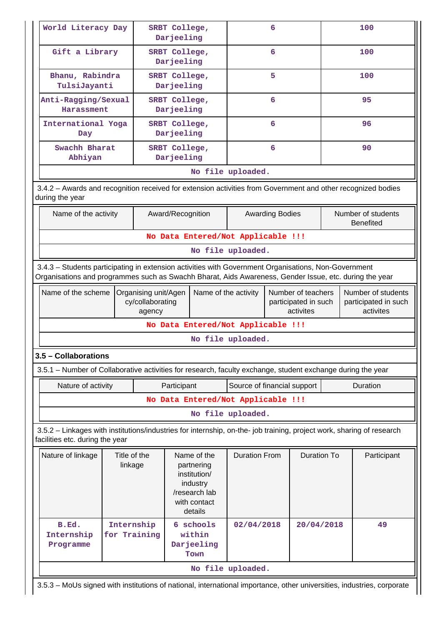| World Literacy Day                                                                                                                                                                                                                                                                                                                  |                            |                                          | SRBT College,<br>Darjeeling                                                                       |                                                                                 | 6                      |                    |     | 100                                              |  |  |  |
|-------------------------------------------------------------------------------------------------------------------------------------------------------------------------------------------------------------------------------------------------------------------------------------------------------------------------------------|----------------------------|------------------------------------------|---------------------------------------------------------------------------------------------------|---------------------------------------------------------------------------------|------------------------|--------------------|-----|--------------------------------------------------|--|--|--|
| Gift a Library                                                                                                                                                                                                                                                                                                                      |                            |                                          | SRBT College,<br>Darjeeling                                                                       |                                                                                 | 6                      |                    |     | 100                                              |  |  |  |
| Bhanu, Rabindra<br>TulsiJayanti                                                                                                                                                                                                                                                                                                     |                            | SRBT College,<br>Darjeeling              |                                                                                                   |                                                                                 | 5                      |                    | 100 |                                                  |  |  |  |
| Anti-Ragging/Sexual<br>Harassment                                                                                                                                                                                                                                                                                                   |                            | SRBT College,<br>Darjeeling              |                                                                                                   |                                                                                 | 6                      |                    |     | 95                                               |  |  |  |
| International Yoga<br>Day                                                                                                                                                                                                                                                                                                           |                            | SRBT College,<br>Darjeeling              |                                                                                                   | 6                                                                               |                        |                    | 96  |                                                  |  |  |  |
| Swachh Bharat<br>Abhiyan                                                                                                                                                                                                                                                                                                            |                            |                                          | SRBT College,<br>Darjeeling                                                                       |                                                                                 | 6                      |                    |     | 90                                               |  |  |  |
| No file uploaded.                                                                                                                                                                                                                                                                                                                   |                            |                                          |                                                                                                   |                                                                                 |                        |                    |     |                                                  |  |  |  |
| 3.4.2 - Awards and recognition received for extension activities from Government and other recognized bodies<br>during the year                                                                                                                                                                                                     |                            |                                          |                                                                                                   |                                                                                 |                        |                    |     |                                                  |  |  |  |
| Name of the activity                                                                                                                                                                                                                                                                                                                |                            |                                          | Award/Recognition                                                                                 |                                                                                 | <b>Awarding Bodies</b> |                    |     | Number of students<br><b>Benefited</b>           |  |  |  |
|                                                                                                                                                                                                                                                                                                                                     |                            |                                          | No Data Entered/Not Applicable !!!                                                                |                                                                                 |                        |                    |     |                                                  |  |  |  |
|                                                                                                                                                                                                                                                                                                                                     |                            |                                          |                                                                                                   | No file uploaded.                                                               |                        |                    |     |                                                  |  |  |  |
| 3.4.3 - Students participating in extension activities with Government Organisations, Non-Government<br>Organisations and programmes such as Swachh Bharat, Aids Awareness, Gender Issue, etc. during the year                                                                                                                      |                            |                                          |                                                                                                   |                                                                                 |                        |                    |     |                                                  |  |  |  |
|                                                                                                                                                                                                                                                                                                                                     |                            |                                          |                                                                                                   | Name of the activity<br>Number of teachers<br>participated in such<br>activites |                        |                    |     |                                                  |  |  |  |
| Name of the scheme                                                                                                                                                                                                                                                                                                                  |                            | Organising unit/Agen<br>cy/collaborating |                                                                                                   |                                                                                 |                        |                    |     | activites                                        |  |  |  |
|                                                                                                                                                                                                                                                                                                                                     |                            | agency                                   | No Data Entered/Not Applicable !!!                                                                |                                                                                 |                        |                    |     |                                                  |  |  |  |
|                                                                                                                                                                                                                                                                                                                                     |                            |                                          |                                                                                                   | No file uploaded.                                                               |                        |                    |     |                                                  |  |  |  |
|                                                                                                                                                                                                                                                                                                                                     |                            |                                          |                                                                                                   |                                                                                 |                        |                    |     |                                                  |  |  |  |
|                                                                                                                                                                                                                                                                                                                                     |                            |                                          |                                                                                                   |                                                                                 |                        |                    |     |                                                  |  |  |  |
| Nature of activity                                                                                                                                                                                                                                                                                                                  |                            |                                          | Participant                                                                                       | Source of financial support                                                     |                        |                    |     | Duration                                         |  |  |  |
|                                                                                                                                                                                                                                                                                                                                     |                            |                                          | No Data Entered/Not Applicable !!!                                                                |                                                                                 |                        |                    |     |                                                  |  |  |  |
|                                                                                                                                                                                                                                                                                                                                     |                            |                                          |                                                                                                   | No file uploaded.                                                               |                        |                    |     |                                                  |  |  |  |
|                                                                                                                                                                                                                                                                                                                                     |                            |                                          |                                                                                                   |                                                                                 |                        |                    |     |                                                  |  |  |  |
| Nature of linkage                                                                                                                                                                                                                                                                                                                   | Title of the<br>linkage    |                                          | Name of the<br>partnering<br>institution/<br>industry<br>/research lab<br>with contact<br>details | <b>Duration From</b>                                                            |                        | <b>Duration To</b> |     | Participant                                      |  |  |  |
| 3.5 - Collaborations<br>3.5.1 – Number of Collaborative activities for research, faculty exchange, student exchange during the year<br>3.5.2 - Linkages with institutions/industries for internship, on-the- job training, project work, sharing of research<br>facilities etc. during the year<br>B.Ed.<br>Internship<br>Programme | Internship<br>for Training |                                          | 6 schools<br>within<br>Darjeeling<br>Town                                                         | 02/04/2018                                                                      |                        | 20/04/2018         |     | Number of students<br>participated in such<br>49 |  |  |  |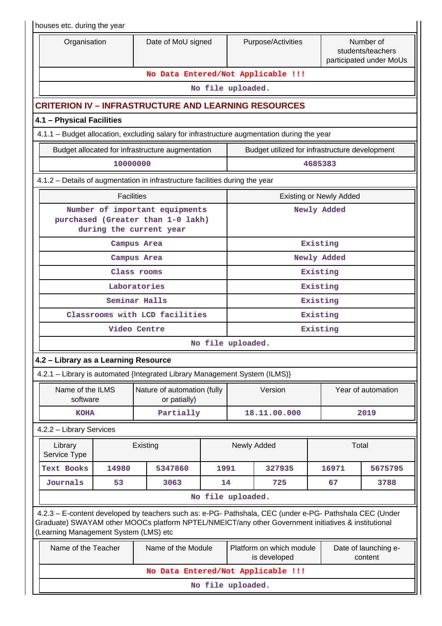| houses etc. during the year                         |                   |                                                                                                                                                                                                                |      |                   |                                                |             |                                                           |  |  |  |
|-----------------------------------------------------|-------------------|----------------------------------------------------------------------------------------------------------------------------------------------------------------------------------------------------------------|------|-------------------|------------------------------------------------|-------------|-----------------------------------------------------------|--|--|--|
| Organisation                                        |                   | Date of MoU signed                                                                                                                                                                                             |      |                   | Purpose/Activities                             |             | Number of<br>students/teachers<br>participated under MoUs |  |  |  |
|                                                     |                   | No Data Entered/Not Applicable !!!                                                                                                                                                                             |      |                   |                                                |             |                                                           |  |  |  |
|                                                     |                   |                                                                                                                                                                                                                |      | No file uploaded. |                                                |             |                                                           |  |  |  |
|                                                     |                   | <b>CRITERION IV - INFRASTRUCTURE AND LEARNING RESOURCES</b>                                                                                                                                                    |      |                   |                                                |             |                                                           |  |  |  |
| 4.1 - Physical Facilities                           |                   |                                                                                                                                                                                                                |      |                   |                                                |             |                                                           |  |  |  |
|                                                     |                   | 4.1.1 – Budget allocation, excluding salary for infrastructure augmentation during the year                                                                                                                    |      |                   |                                                |             |                                                           |  |  |  |
|                                                     |                   | Budget allocated for infrastructure augmentation                                                                                                                                                               |      |                   | Budget utilized for infrastructure development |             |                                                           |  |  |  |
|                                                     | 10000000          |                                                                                                                                                                                                                |      |                   |                                                | 4685383     |                                                           |  |  |  |
|                                                     |                   | 4.1.2 - Details of augmentation in infrastructure facilities during the year                                                                                                                                   |      |                   |                                                |             |                                                           |  |  |  |
| <b>Facilities</b><br><b>Existing or Newly Added</b> |                   |                                                                                                                                                                                                                |      |                   |                                                |             |                                                           |  |  |  |
|                                                     |                   | Number of important equipments<br>purchased (Greater than 1-0 lakh)<br>during the current year                                                                                                                 |      |                   |                                                | Newly Added |                                                           |  |  |  |
|                                                     |                   | Campus Area                                                                                                                                                                                                    |      |                   |                                                | Existing    |                                                           |  |  |  |
|                                                     |                   | Campus Area                                                                                                                                                                                                    |      |                   |                                                | Newly Added |                                                           |  |  |  |
|                                                     |                   | Class rooms                                                                                                                                                                                                    |      |                   |                                                | Existing    |                                                           |  |  |  |
|                                                     |                   | Laboratories                                                                                                                                                                                                   |      |                   |                                                | Existing    |                                                           |  |  |  |
|                                                     |                   | Seminar Halls                                                                                                                                                                                                  |      |                   |                                                | Existing    |                                                           |  |  |  |
|                                                     |                   | Classrooms with LCD facilities                                                                                                                                                                                 |      |                   | Existing                                       |             |                                                           |  |  |  |
|                                                     |                   | Video Centre                                                                                                                                                                                                   |      | Existing          |                                                |             |                                                           |  |  |  |
|                                                     |                   |                                                                                                                                                                                                                |      | No file uploaded. |                                                |             |                                                           |  |  |  |
| 4.2 - Library as a Learning Resource                |                   |                                                                                                                                                                                                                |      |                   |                                                |             |                                                           |  |  |  |
|                                                     |                   | 4.2.1 - Library is automated {Integrated Library Management System (ILMS)}                                                                                                                                     |      |                   |                                                |             |                                                           |  |  |  |
| Name of the ILMS<br>software                        |                   | Nature of automation (fully<br>or patially)                                                                                                                                                                    |      |                   | Version                                        |             | Year of automation                                        |  |  |  |
| <b>KOHA</b>                                         |                   | Partially                                                                                                                                                                                                      |      |                   | 18.11.00.000                                   |             | 2019                                                      |  |  |  |
| 4.2.2 - Library Services                            |                   |                                                                                                                                                                                                                |      |                   |                                                |             |                                                           |  |  |  |
| Library<br>Service Type                             |                   | Existing                                                                                                                                                                                                       |      |                   | Newly Added                                    |             | Total                                                     |  |  |  |
| Text Books                                          | 14980             | 5347860                                                                                                                                                                                                        | 1991 |                   | 327935                                         | 16971       | 5675795                                                   |  |  |  |
| Journals                                            | 53                | 3063                                                                                                                                                                                                           | 14   |                   | 725                                            | 67          | 3788                                                      |  |  |  |
|                                                     |                   |                                                                                                                                                                                                                |      | No file uploaded. |                                                |             |                                                           |  |  |  |
| (Learning Management System (LMS) etc               |                   | 4.2.3 - E-content developed by teachers such as: e-PG- Pathshala, CEC (under e-PG- Pathshala CEC (Under<br>Graduate) SWAYAM other MOOCs platform NPTEL/NMEICT/any other Government initiatives & institutional |      |                   |                                                |             |                                                           |  |  |  |
| Name of the Teacher                                 |                   | Name of the Module                                                                                                                                                                                             |      |                   | Platform on which module<br>is developed       |             | Date of launching e-<br>content                           |  |  |  |
|                                                     |                   | No Data Entered/Not Applicable !!!                                                                                                                                                                             |      |                   |                                                |             |                                                           |  |  |  |
|                                                     | No file uploaded. |                                                                                                                                                                                                                |      |                   |                                                |             |                                                           |  |  |  |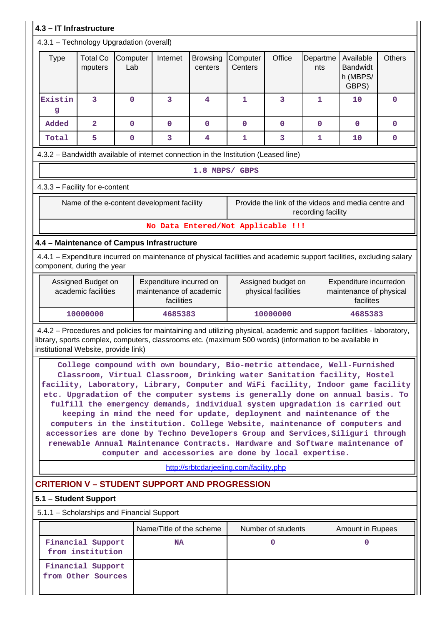| 4.3 - IT Infrastructure                                                                                                                                                                                                                                                  |                                                                                                                                                                                                                                                                                                                                                                                                                                                                                                                                                                                                                                                                                                                                                                                              |                 |                                                                  |                            |                                         |                                           |                 |                                                                |               |  |  |  |
|--------------------------------------------------------------------------------------------------------------------------------------------------------------------------------------------------------------------------------------------------------------------------|----------------------------------------------------------------------------------------------------------------------------------------------------------------------------------------------------------------------------------------------------------------------------------------------------------------------------------------------------------------------------------------------------------------------------------------------------------------------------------------------------------------------------------------------------------------------------------------------------------------------------------------------------------------------------------------------------------------------------------------------------------------------------------------------|-----------------|------------------------------------------------------------------|----------------------------|-----------------------------------------|-------------------------------------------|-----------------|----------------------------------------------------------------|---------------|--|--|--|
| 4.3.1 - Technology Upgradation (overall)                                                                                                                                                                                                                                 |                                                                                                                                                                                                                                                                                                                                                                                                                                                                                                                                                                                                                                                                                                                                                                                              |                 |                                                                  |                            |                                         |                                           |                 |                                                                |               |  |  |  |
| <b>Type</b>                                                                                                                                                                                                                                                              | <b>Total Co</b><br>mputers                                                                                                                                                                                                                                                                                                                                                                                                                                                                                                                                                                                                                                                                                                                                                                   | Computer<br>Lab | Internet                                                         | <b>Browsing</b><br>centers | Computer<br>Centers                     | Office                                    | Departme<br>nts | Available<br><b>Bandwidt</b><br>h (MBPS/<br>GBPS)              | <b>Others</b> |  |  |  |
| Existin<br>g                                                                                                                                                                                                                                                             | 3                                                                                                                                                                                                                                                                                                                                                                                                                                                                                                                                                                                                                                                                                                                                                                                            | $\mathbf 0$     | 3                                                                | 4                          | 1                                       | 3                                         | 1               | 10                                                             | $\mathbf 0$   |  |  |  |
| Added                                                                                                                                                                                                                                                                    | $\overline{\mathbf{2}}$                                                                                                                                                                                                                                                                                                                                                                                                                                                                                                                                                                                                                                                                                                                                                                      | $\mathbf 0$     | $\mathbf 0$                                                      | $\mathbf 0$                | $\mathbf 0$                             | $\mathbf 0$                               | $\mathbf 0$     | $\mathbf 0$                                                    | $\mathbf 0$   |  |  |  |
| Total                                                                                                                                                                                                                                                                    | 5                                                                                                                                                                                                                                                                                                                                                                                                                                                                                                                                                                                                                                                                                                                                                                                            | $\mathbf 0$     | 3                                                                | $\overline{\mathbf{4}}$    | 1                                       | 3                                         | 1               | 10                                                             | 0             |  |  |  |
| 4.3.2 - Bandwidth available of internet connection in the Institution (Leased line)                                                                                                                                                                                      |                                                                                                                                                                                                                                                                                                                                                                                                                                                                                                                                                                                                                                                                                                                                                                                              |                 |                                                                  |                            |                                         |                                           |                 |                                                                |               |  |  |  |
| 1.8 MBPS/ GBPS                                                                                                                                                                                                                                                           |                                                                                                                                                                                                                                                                                                                                                                                                                                                                                                                                                                                                                                                                                                                                                                                              |                 |                                                                  |                            |                                         |                                           |                 |                                                                |               |  |  |  |
| 4.3.3 - Facility for e-content                                                                                                                                                                                                                                           |                                                                                                                                                                                                                                                                                                                                                                                                                                                                                                                                                                                                                                                                                                                                                                                              |                 |                                                                  |                            |                                         |                                           |                 |                                                                |               |  |  |  |
| Name of the e-content development facility<br>Provide the link of the videos and media centre and<br>recording facility                                                                                                                                                  |                                                                                                                                                                                                                                                                                                                                                                                                                                                                                                                                                                                                                                                                                                                                                                                              |                 |                                                                  |                            |                                         |                                           |                 |                                                                |               |  |  |  |
|                                                                                                                                                                                                                                                                          |                                                                                                                                                                                                                                                                                                                                                                                                                                                                                                                                                                                                                                                                                                                                                                                              |                 |                                                                  |                            | No Data Entered/Not Applicable !!!      |                                           |                 |                                                                |               |  |  |  |
| 4.4 - Maintenance of Campus Infrastructure                                                                                                                                                                                                                               |                                                                                                                                                                                                                                                                                                                                                                                                                                                                                                                                                                                                                                                                                                                                                                                              |                 |                                                                  |                            |                                         |                                           |                 |                                                                |               |  |  |  |
| 4.4.1 - Expenditure incurred on maintenance of physical facilities and academic support facilities, excluding salary<br>component, during the year                                                                                                                       |                                                                                                                                                                                                                                                                                                                                                                                                                                                                                                                                                                                                                                                                                                                                                                                              |                 |                                                                  |                            |                                         |                                           |                 |                                                                |               |  |  |  |
|                                                                                                                                                                                                                                                                          | Assigned Budget on<br>academic facilities                                                                                                                                                                                                                                                                                                                                                                                                                                                                                                                                                                                                                                                                                                                                                    |                 | Expenditure incurred on<br>maintenance of academic<br>facilities |                            |                                         | Assigned budget on<br>physical facilities |                 | Expenditure incurredon<br>maintenance of physical<br>facilites |               |  |  |  |
|                                                                                                                                                                                                                                                                          | 10000000                                                                                                                                                                                                                                                                                                                                                                                                                                                                                                                                                                                                                                                                                                                                                                                     |                 | 4685383                                                          |                            |                                         | 10000000                                  |                 | 4685383                                                        |               |  |  |  |
| 4.4.2 - Procedures and policies for maintaining and utilizing physical, academic and support facilities - laboratory,<br>library, sports complex, computers, classrooms etc. (maximum 500 words) (information to be available in<br>institutional Website, provide link) |                                                                                                                                                                                                                                                                                                                                                                                                                                                                                                                                                                                                                                                                                                                                                                                              |                 |                                                                  |                            |                                         |                                           |                 |                                                                |               |  |  |  |
|                                                                                                                                                                                                                                                                          | College compound with own boundary, Bio-metric attendace, Well-Furnished<br>Classroom, Virtual Classroom, Drinking water Sanitation facility, Hostel<br>facility, Laboratory, Library, Computer and WiFi facility, Indoor game facility<br>etc. Upgradation of the computer systems is generally done on annual basis. To<br>fulfill the emergency demands, individual system upgradation is carried out<br>keeping in mind the need for update, deployment and maintenance of the<br>computers in the institution. College Website, maintenance of computers and<br>accessories are done by Techno Developers Group and Services, Siliguri through<br>renewable Annual Maintenance Contracts. Hardware and Software maintenance of<br>computer and accessories are done by local expertise. |                 |                                                                  |                            |                                         |                                           |                 |                                                                |               |  |  |  |
|                                                                                                                                                                                                                                                                          |                                                                                                                                                                                                                                                                                                                                                                                                                                                                                                                                                                                                                                                                                                                                                                                              |                 |                                                                  |                            | http://srbtcdarjeeling.com/facility.php |                                           |                 |                                                                |               |  |  |  |
| <b>CRITERION V - STUDENT SUPPORT AND PROGRESSION</b>                                                                                                                                                                                                                     |                                                                                                                                                                                                                                                                                                                                                                                                                                                                                                                                                                                                                                                                                                                                                                                              |                 |                                                                  |                            |                                         |                                           |                 |                                                                |               |  |  |  |
| 5.1 – Student Support                                                                                                                                                                                                                                                    |                                                                                                                                                                                                                                                                                                                                                                                                                                                                                                                                                                                                                                                                                                                                                                                              |                 |                                                                  |                            |                                         |                                           |                 |                                                                |               |  |  |  |
| 5.1.1 - Scholarships and Financial Support                                                                                                                                                                                                                               |                                                                                                                                                                                                                                                                                                                                                                                                                                                                                                                                                                                                                                                                                                                                                                                              |                 |                                                                  |                            |                                         |                                           |                 |                                                                |               |  |  |  |
|                                                                                                                                                                                                                                                                          |                                                                                                                                                                                                                                                                                                                                                                                                                                                                                                                                                                                                                                                                                                                                                                                              |                 | Name/Title of the scheme                                         |                            |                                         | Number of students                        |                 | Amount in Rupees                                               |               |  |  |  |
|                                                                                                                                                                                                                                                                          | Financial Support<br>from institution                                                                                                                                                                                                                                                                                                                                                                                                                                                                                                                                                                                                                                                                                                                                                        |                 | <b>NA</b>                                                        |                            |                                         | $\mathbf 0$                               |                 | $\mathbf{0}$                                                   |               |  |  |  |
|                                                                                                                                                                                                                                                                          | Financial Support<br>from Other Sources                                                                                                                                                                                                                                                                                                                                                                                                                                                                                                                                                                                                                                                                                                                                                      |                 |                                                                  |                            |                                         |                                           |                 |                                                                |               |  |  |  |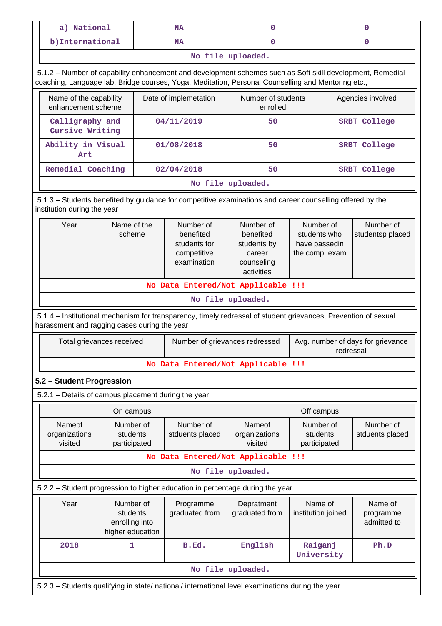| a) National                                         |                                                             | <b>NA</b>   |                                                                      | 0                                                                                                                                                                                                               |                                                              | 0         |                                     |  |
|-----------------------------------------------------|-------------------------------------------------------------|-------------|----------------------------------------------------------------------|-----------------------------------------------------------------------------------------------------------------------------------------------------------------------------------------------------------------|--------------------------------------------------------------|-----------|-------------------------------------|--|
| b) International                                    |                                                             |             | <b>NA</b>                                                            | $\mathbf 0$                                                                                                                                                                                                     |                                                              |           | 0                                   |  |
|                                                     |                                                             |             |                                                                      | No file uploaded.                                                                                                                                                                                               |                                                              |           |                                     |  |
|                                                     |                                                             |             |                                                                      | 5.1.2 - Number of capability enhancement and development schemes such as Soft skill development, Remedial<br>coaching, Language lab, Bridge courses, Yoga, Meditation, Personal Counselling and Mentoring etc., |                                                              |           |                                     |  |
| Name of the capability<br>enhancement scheme        |                                                             |             | Date of implemetation                                                | Number of students<br>enrolled                                                                                                                                                                                  |                                                              |           | Agencies involved                   |  |
| Calligraphy and<br>Cursive Writing                  |                                                             |             | 04/11/2019                                                           | 50                                                                                                                                                                                                              |                                                              |           | <b>SRBT College</b>                 |  |
| Ability in Visual<br>Art                            |                                                             |             | 01/08/2018                                                           | 50                                                                                                                                                                                                              |                                                              |           | <b>SRBT College</b>                 |  |
| Remedial Coaching                                   |                                                             |             | 02/04/2018                                                           | 50                                                                                                                                                                                                              |                                                              |           | <b>SRBT College</b>                 |  |
| No file uploaded.                                   |                                                             |             |                                                                      |                                                                                                                                                                                                                 |                                                              |           |                                     |  |
| institution during the year                         |                                                             |             |                                                                      | 5.1.3 - Students benefited by guidance for competitive examinations and career counselling offered by the                                                                                                       |                                                              |           |                                     |  |
| Year<br>scheme                                      |                                                             | Name of the | Number of<br>benefited<br>students for<br>competitive<br>examination | Number of<br>benefited<br>students by<br>career<br>counseling<br>activities                                                                                                                                     | Number of<br>students who<br>have passedin<br>the comp. exam |           | Number of<br>studentsp placed       |  |
|                                                     |                                                             |             |                                                                      |                                                                                                                                                                                                                 |                                                              |           |                                     |  |
|                                                     |                                                             |             |                                                                      | No Data Entered/Not Applicable !!!                                                                                                                                                                              |                                                              |           |                                     |  |
|                                                     |                                                             |             |                                                                      | No file uploaded.                                                                                                                                                                                               |                                                              |           |                                     |  |
| harassment and ragging cases during the year        |                                                             |             |                                                                      | 5.1.4 – Institutional mechanism for transparency, timely redressal of student grievances, Prevention of sexual                                                                                                  |                                                              |           |                                     |  |
| Total grievances received                           |                                                             |             |                                                                      | Number of grievances redressed                                                                                                                                                                                  |                                                              | redressal |                                     |  |
|                                                     |                                                             |             |                                                                      | No Data Entered/Not Applicable !!!                                                                                                                                                                              |                                                              |           |                                     |  |
| 5.2 - Student Progression                           |                                                             |             |                                                                      |                                                                                                                                                                                                                 |                                                              |           |                                     |  |
|                                                     |                                                             |             |                                                                      |                                                                                                                                                                                                                 |                                                              |           |                                     |  |
| 5.2.1 - Details of campus placement during the year | On campus                                                   |             |                                                                      |                                                                                                                                                                                                                 | Off campus                                                   |           | Avg. number of days for grievance   |  |
| Nameof<br>organizations<br>visited                  | Number of<br>students<br>participated                       |             | Number of<br>stduents placed                                         | Nameof<br>organizations<br>visited                                                                                                                                                                              | Number of<br>students<br>participated                        |           | Number of<br>stduents placed        |  |
|                                                     |                                                             |             |                                                                      | No Data Entered/Not Applicable !!!                                                                                                                                                                              |                                                              |           |                                     |  |
|                                                     |                                                             |             |                                                                      | No file uploaded.                                                                                                                                                                                               |                                                              |           |                                     |  |
|                                                     |                                                             |             |                                                                      | 5.2.2 - Student progression to higher education in percentage during the year                                                                                                                                   |                                                              |           |                                     |  |
| Year                                                | Number of<br>students<br>enrolling into<br>higher education |             | Programme<br>graduated from                                          | Depratment<br>graduated from                                                                                                                                                                                    | Name of<br>institution joined                                |           | Name of<br>programme<br>admitted to |  |
| 2018                                                | 1                                                           |             | B.Ed.                                                                | English                                                                                                                                                                                                         | Raiganj<br>University                                        |           | Ph.D                                |  |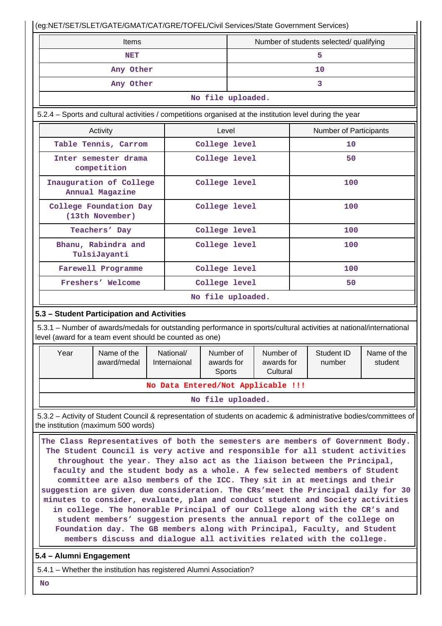|                                                                                                                                                                                                                                                                                                                                                                                                                                                                                                                                                                                                                                                                                                                                                                                                                                                                                                                                    |                                                                                                                                                                                |  |                                                                |                   | (eg:NET/SET/SLET/GATE/GMAT/CAT/GRE/TOFEL/Civil Services/State Government Services) |  |                      |                        |  |  |  |
|------------------------------------------------------------------------------------------------------------------------------------------------------------------------------------------------------------------------------------------------------------------------------------------------------------------------------------------------------------------------------------------------------------------------------------------------------------------------------------------------------------------------------------------------------------------------------------------------------------------------------------------------------------------------------------------------------------------------------------------------------------------------------------------------------------------------------------------------------------------------------------------------------------------------------------|--------------------------------------------------------------------------------------------------------------------------------------------------------------------------------|--|----------------------------------------------------------------|-------------------|------------------------------------------------------------------------------------|--|----------------------|------------------------|--|--|--|
|                                                                                                                                                                                                                                                                                                                                                                                                                                                                                                                                                                                                                                                                                                                                                                                                                                                                                                                                    | <b>Items</b>                                                                                                                                                                   |  |                                                                |                   | Number of students selected/ qualifying                                            |  |                      |                        |  |  |  |
|                                                                                                                                                                                                                                                                                                                                                                                                                                                                                                                                                                                                                                                                                                                                                                                                                                                                                                                                    | NET                                                                                                                                                                            |  |                                                                |                   |                                                                                    |  |                      | 5                      |  |  |  |
|                                                                                                                                                                                                                                                                                                                                                                                                                                                                                                                                                                                                                                                                                                                                                                                                                                                                                                                                    | Any Other                                                                                                                                                                      |  |                                                                |                   |                                                                                    |  |                      | 10                     |  |  |  |
|                                                                                                                                                                                                                                                                                                                                                                                                                                                                                                                                                                                                                                                                                                                                                                                                                                                                                                                                    | Any Other                                                                                                                                                                      |  |                                                                |                   | 3                                                                                  |  |                      |                        |  |  |  |
|                                                                                                                                                                                                                                                                                                                                                                                                                                                                                                                                                                                                                                                                                                                                                                                                                                                                                                                                    |                                                                                                                                                                                |  |                                                                |                   | No file uploaded.                                                                  |  |                      |                        |  |  |  |
|                                                                                                                                                                                                                                                                                                                                                                                                                                                                                                                                                                                                                                                                                                                                                                                                                                                                                                                                    | 5.2.4 – Sports and cultural activities / competitions organised at the institution level during the year                                                                       |  |                                                                |                   |                                                                                    |  |                      |                        |  |  |  |
|                                                                                                                                                                                                                                                                                                                                                                                                                                                                                                                                                                                                                                                                                                                                                                                                                                                                                                                                    | Activity                                                                                                                                                                       |  |                                                                |                   |                                                                                    |  |                      | Number of Participants |  |  |  |
|                                                                                                                                                                                                                                                                                                                                                                                                                                                                                                                                                                                                                                                                                                                                                                                                                                                                                                                                    | Table Tennis, Carrom                                                                                                                                                           |  |                                                                | College level     |                                                                                    |  |                      | 10                     |  |  |  |
|                                                                                                                                                                                                                                                                                                                                                                                                                                                                                                                                                                                                                                                                                                                                                                                                                                                                                                                                    | Inter semester drama<br>competition                                                                                                                                            |  |                                                                | College level     |                                                                                    |  |                      | 50                     |  |  |  |
|                                                                                                                                                                                                                                                                                                                                                                                                                                                                                                                                                                                                                                                                                                                                                                                                                                                                                                                                    | Inauguration of College<br>Annual Magazine                                                                                                                                     |  |                                                                | College level     |                                                                                    |  |                      | 100                    |  |  |  |
|                                                                                                                                                                                                                                                                                                                                                                                                                                                                                                                                                                                                                                                                                                                                                                                                                                                                                                                                    | College Foundation Day<br>(13th November)                                                                                                                                      |  |                                                                | College level     |                                                                                    |  |                      | 100                    |  |  |  |
|                                                                                                                                                                                                                                                                                                                                                                                                                                                                                                                                                                                                                                                                                                                                                                                                                                                                                                                                    | Teachers' Day                                                                                                                                                                  |  |                                                                | College level     |                                                                                    |  |                      | 100                    |  |  |  |
|                                                                                                                                                                                                                                                                                                                                                                                                                                                                                                                                                                                                                                                                                                                                                                                                                                                                                                                                    | Bhanu, Rabindra and<br>TulsiJayanti                                                                                                                                            |  |                                                                | College level     |                                                                                    |  |                      | 100                    |  |  |  |
|                                                                                                                                                                                                                                                                                                                                                                                                                                                                                                                                                                                                                                                                                                                                                                                                                                                                                                                                    | Farewell Programme                                                                                                                                                             |  |                                                                | College level     |                                                                                    |  |                      | 100                    |  |  |  |
|                                                                                                                                                                                                                                                                                                                                                                                                                                                                                                                                                                                                                                                                                                                                                                                                                                                                                                                                    | Freshers' Welcome                                                                                                                                                              |  |                                                                | College level     |                                                                                    |  | 50                   |                        |  |  |  |
|                                                                                                                                                                                                                                                                                                                                                                                                                                                                                                                                                                                                                                                                                                                                                                                                                                                                                                                                    |                                                                                                                                                                                |  |                                                                | No file uploaded. |                                                                                    |  |                      |                        |  |  |  |
|                                                                                                                                                                                                                                                                                                                                                                                                                                                                                                                                                                                                                                                                                                                                                                                                                                                                                                                                    | 5.3 - Student Participation and Activities                                                                                                                                     |  |                                                                |                   |                                                                                    |  |                      |                        |  |  |  |
|                                                                                                                                                                                                                                                                                                                                                                                                                                                                                                                                                                                                                                                                                                                                                                                                                                                                                                                                    | 5.3.1 – Number of awards/medals for outstanding performance in sports/cultural activities at national/international<br>level (award for a team event should be counted as one) |  |                                                                |                   |                                                                                    |  |                      |                        |  |  |  |
| Year                                                                                                                                                                                                                                                                                                                                                                                                                                                                                                                                                                                                                                                                                                                                                                                                                                                                                                                               | Name of the<br>award/medal                                                                                                                                                     |  | Number of<br>National/<br>Internaional<br>awards for<br>Sports |                   | Number of<br>awards for<br>Cultural                                                |  | Student ID<br>number | Name of the<br>student |  |  |  |
|                                                                                                                                                                                                                                                                                                                                                                                                                                                                                                                                                                                                                                                                                                                                                                                                                                                                                                                                    |                                                                                                                                                                                |  | No Data Entered/Not Applicable !!!                             |                   |                                                                                    |  |                      |                        |  |  |  |
|                                                                                                                                                                                                                                                                                                                                                                                                                                                                                                                                                                                                                                                                                                                                                                                                                                                                                                                                    |                                                                                                                                                                                |  |                                                                | No file uploaded. |                                                                                    |  |                      |                        |  |  |  |
|                                                                                                                                                                                                                                                                                                                                                                                                                                                                                                                                                                                                                                                                                                                                                                                                                                                                                                                                    | 5.3.2 - Activity of Student Council & representation of students on academic & administrative bodies/committees of                                                             |  |                                                                |                   |                                                                                    |  |                      |                        |  |  |  |
| the institution (maximum 500 words)<br>The Class Representatives of both the semesters are members of Government Body.<br>The Student Council is very active and responsible for all student activities<br>throughout the year. They also act as the liaison between the Principal,<br>faculty and the student body as a whole. A few selected members of Student<br>committee are also members of the ICC. They sit in at meetings and their<br>suggestion are given due consideration. The CRs'meet the Principal daily for 30<br>minutes to consider, evaluate, plan and conduct student and Society activities<br>in college. The honorable Principal of our College along with the CR's and<br>student members' suggestion presents the annual report of the college on<br>Foundation day. The GB members along with Principal, Faculty, and Student<br>members discuss and dialogue all activities related with the college. |                                                                                                                                                                                |  |                                                                |                   |                                                                                    |  |                      |                        |  |  |  |
| 5.4 - Alumni Engagement                                                                                                                                                                                                                                                                                                                                                                                                                                                                                                                                                                                                                                                                                                                                                                                                                                                                                                            |                                                                                                                                                                                |  |                                                                |                   |                                                                                    |  |                      |                        |  |  |  |
|                                                                                                                                                                                                                                                                                                                                                                                                                                                                                                                                                                                                                                                                                                                                                                                                                                                                                                                                    | 5.4.1 - Whether the institution has registered Alumni Association?                                                                                                             |  |                                                                |                   |                                                                                    |  |                      |                        |  |  |  |
| <b>No</b>                                                                                                                                                                                                                                                                                                                                                                                                                                                                                                                                                                                                                                                                                                                                                                                                                                                                                                                          |                                                                                                                                                                                |  |                                                                |                   |                                                                                    |  |                      |                        |  |  |  |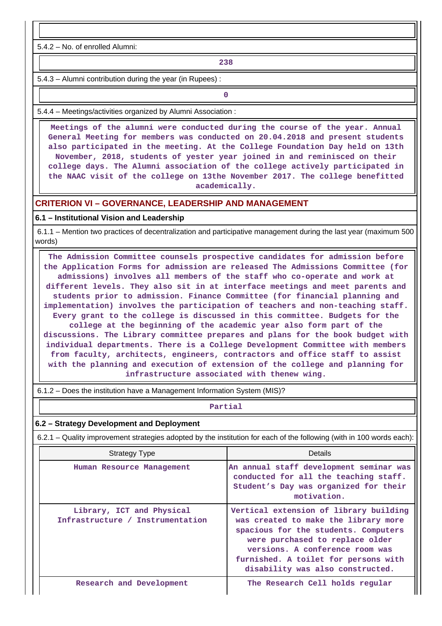5.4.2 – No. of enrolled Alumni:

**238**

5.4.3 – Alumni contribution during the year (in Rupees) :

**0**

5.4.4 – Meetings/activities organized by Alumni Association :

 **Meetings of the alumni were conducted during the course of the year. Annual General Meeting for members was conducted on 20.04.2018 and present students also participated in the meeting. At the College Foundation Day held on 13th November, 2018, students of yester year joined in and reminisced on their college days. The Alumni association of the college actively participated in the NAAC visit of the college on 13the November 2017. The college benefitted academically.**

#### **CRITERION VI – GOVERNANCE, LEADERSHIP AND MANAGEMENT**

#### **6.1 – Institutional Vision and Leadership**

 6.1.1 – Mention two practices of decentralization and participative management during the last year (maximum 500 words)

 **The Admission Committee counsels prospective candidates for admission before the Application Forms for admission are released The Admissions Committee (for admissions) involves all members of the staff who co-operate and work at different levels. They also sit in at interface meetings and meet parents and students prior to admission. Finance Committee (for financial planning and implementation) involves the participation of teachers and non-teaching staff. Every grant to the college is discussed in this committee. Budgets for the college at the beginning of the academic year also form part of the discussions. The Library committee prepares and plans for the book budget with individual departments. There is a College Development Committee with members from faculty, architects, engineers, contractors and office staff to assist with the planning and execution of extension of the college and planning for infrastructure associated with thenew wing.**

6.1.2 – Does the institution have a Management Information System (MIS)?

#### **Partial**

#### **6.2 – Strategy Development and Deployment**

6.2.1 – Quality improvement strategies adopted by the institution for each of the following (with in 100 words each):

| <b>Strategy Type</b>                                          | Details                                                                                                                                                                                                                                                                  |  |  |  |
|---------------------------------------------------------------|--------------------------------------------------------------------------------------------------------------------------------------------------------------------------------------------------------------------------------------------------------------------------|--|--|--|
| Human Resource Management                                     | An annual staff development seminar was<br>conducted for all the teaching staff.<br>Student's Day was organized for their<br>motivation.                                                                                                                                 |  |  |  |
| Library, ICT and Physical<br>Infrastructure / Instrumentation | Vertical extension of library building<br>was created to make the library more<br>spacious for the students. Computers<br>were purchased to replace older<br>versions. A conference room was<br>furnished. A toilet for persons with<br>disability was also constructed. |  |  |  |
| Research and Development                                      | The Research Cell holds regular                                                                                                                                                                                                                                          |  |  |  |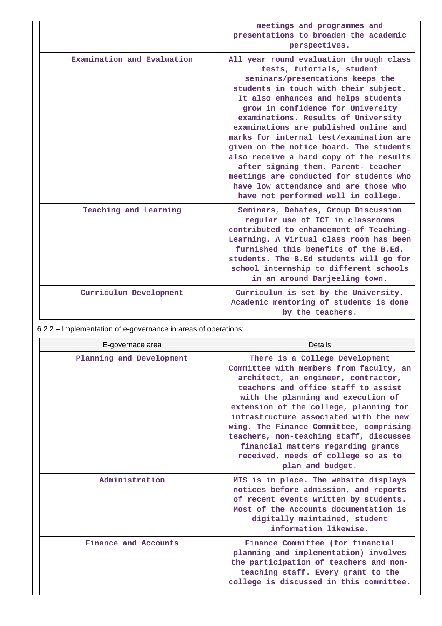|                            | meetings and programmes and<br>presentations to broaden the academic<br>perspectives.                                                                                                                                                                                                                                                                                                                                                                                                                                                                                                                            |
|----------------------------|------------------------------------------------------------------------------------------------------------------------------------------------------------------------------------------------------------------------------------------------------------------------------------------------------------------------------------------------------------------------------------------------------------------------------------------------------------------------------------------------------------------------------------------------------------------------------------------------------------------|
| Examination and Evaluation | All year round evaluation through class<br>tests, tutorials, student<br>seminars/presentations keeps the<br>students in touch with their subject.<br>It also enhances and helps students<br>grow in confidence for University<br>examinations. Results of University<br>examinations are published online and<br>marks for internal test/examination are<br>given on the notice board. The students<br>also receive a hard copy of the results<br>after signing them. Parent- teacher<br>meetings are conducted for students who<br>have low attendance and are those who<br>have not performed well in college. |
| Teaching and Learning      | Seminars, Debates, Group Discussion<br>regular use of ICT in classrooms<br>contributed to enhancement of Teaching-<br>Learning. A Virtual class room has been<br>furnished this benefits of the B.Ed.<br>students. The B.Ed students will go for<br>school internship to different schools<br>in an around Darjeeling town.                                                                                                                                                                                                                                                                                      |
| Curriculum Development     | Curriculum is set by the University.<br>Academic mentoring of students is done<br>by the teachers.                                                                                                                                                                                                                                                                                                                                                                                                                                                                                                               |

# 6.2.2 – Implementation of e-governance in areas of operations:

| E-governace area         | Details                                                                                                                                                                                                                                                                                                                                                                                                                                                                  |
|--------------------------|--------------------------------------------------------------------------------------------------------------------------------------------------------------------------------------------------------------------------------------------------------------------------------------------------------------------------------------------------------------------------------------------------------------------------------------------------------------------------|
| Planning and Development | There is a College Development<br>Committee with members from faculty, an<br>architect, an engineer, contractor,<br>teachers and office staff to assist<br>with the planning and execution of<br>extension of the college, planning for<br>infrastructure associated with the new<br>wing. The Finance Committee, comprising<br>teachers, non-teaching staff, discusses<br>financial matters regarding grants<br>received, needs of college so as to<br>plan and budget. |
| Administration           | MIS is in place. The website displays<br>notices before admission, and reports<br>of recent events written by students.<br>Most of the Accounts documentation is<br>digitally maintained, student<br>information likewise.                                                                                                                                                                                                                                               |
| Finance and Accounts     | Finance Committee (for financial<br>planning and implementation) involves<br>the participation of teachers and non-<br>teaching staff. Every grant to the<br>college is discussed in this committee.                                                                                                                                                                                                                                                                     |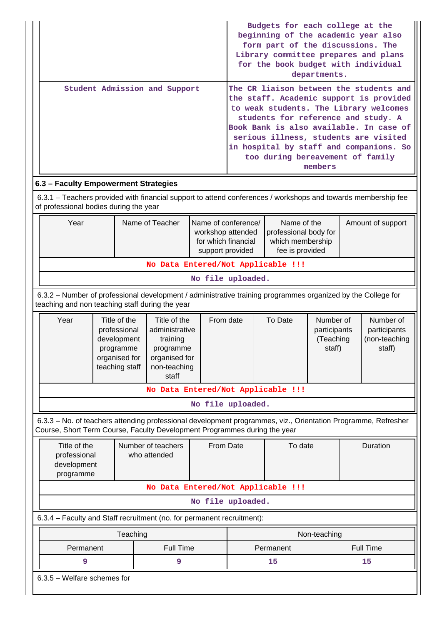|                                                                                                                                                                                            |                                                                                                |                                                                                             |                                                                                                   |                                         | Budgets for each college at the<br>beginning of the academic year also<br>form part of the discussions. The<br>Library committee prepares and plans<br>for the book budget with individual<br>departments.<br>The CR liaison between the students and |                                                                             |                                                  |                        |                                                                                                                                                                                                                  |
|--------------------------------------------------------------------------------------------------------------------------------------------------------------------------------------------|------------------------------------------------------------------------------------------------|---------------------------------------------------------------------------------------------|---------------------------------------------------------------------------------------------------|-----------------------------------------|-------------------------------------------------------------------------------------------------------------------------------------------------------------------------------------------------------------------------------------------------------|-----------------------------------------------------------------------------|--------------------------------------------------|------------------------|------------------------------------------------------------------------------------------------------------------------------------------------------------------------------------------------------------------|
|                                                                                                                                                                                            |                                                                                                |                                                                                             | Student Admission and Support                                                                     |                                         |                                                                                                                                                                                                                                                       | students for reference and study. A<br>too during bereavement of family     | members                                          |                        | the staff. Academic support is provided<br>to weak students. The Library welcomes<br>Book Bank is also available. In case of<br>serious illness, students are visited<br>in hospital by staff and companions. So |
| 6.3 - Faculty Empowerment Strategies                                                                                                                                                       |                                                                                                |                                                                                             |                                                                                                   |                                         |                                                                                                                                                                                                                                                       |                                                                             |                                                  |                        |                                                                                                                                                                                                                  |
| 6.3.1 - Teachers provided with financial support to attend conferences / workshops and towards membership fee<br>of professional bodies during the year                                    |                                                                                                |                                                                                             |                                                                                                   |                                         |                                                                                                                                                                                                                                                       |                                                                             |                                                  |                        |                                                                                                                                                                                                                  |
| Year                                                                                                                                                                                       |                                                                                                |                                                                                             | Name of Teacher                                                                                   | for which financial<br>support provided | Name of conference/<br>workshop attended                                                                                                                                                                                                              | Name of the<br>professional body for<br>which membership<br>fee is provided |                                                  |                        | Amount of support                                                                                                                                                                                                |
|                                                                                                                                                                                            |                                                                                                |                                                                                             | No Data Entered/Not Applicable !!!                                                                |                                         |                                                                                                                                                                                                                                                       |                                                                             |                                                  |                        |                                                                                                                                                                                                                  |
|                                                                                                                                                                                            |                                                                                                |                                                                                             |                                                                                                   |                                         | No file uploaded.                                                                                                                                                                                                                                     |                                                                             |                                                  |                        |                                                                                                                                                                                                                  |
| 6.3.2 - Number of professional development / administrative training programmes organized by the College for<br>teaching and non teaching staff during the year                            |                                                                                                |                                                                                             |                                                                                                   |                                         |                                                                                                                                                                                                                                                       |                                                                             |                                                  |                        |                                                                                                                                                                                                                  |
| Year                                                                                                                                                                                       |                                                                                                | Title of the<br>professional<br>development<br>programme<br>organised for<br>teaching staff | Title of the<br>administrative<br>training<br>programme<br>organised for<br>non-teaching<br>staff | From date                               |                                                                                                                                                                                                                                                       | To Date                                                                     | Number of<br>participants<br>(Teaching<br>staff) |                        | Number of<br>participants<br>(non-teaching<br>staff)                                                                                                                                                             |
|                                                                                                                                                                                            |                                                                                                |                                                                                             | No Data Entered/Not Applicable !!!                                                                |                                         |                                                                                                                                                                                                                                                       |                                                                             |                                                  |                        |                                                                                                                                                                                                                  |
|                                                                                                                                                                                            |                                                                                                |                                                                                             |                                                                                                   |                                         | No file uploaded.                                                                                                                                                                                                                                     |                                                                             |                                                  |                        |                                                                                                                                                                                                                  |
| 6.3.3 - No. of teachers attending professional development programmes, viz., Orientation Programme, Refresher<br>Course, Short Term Course, Faculty Development Programmes during the year |                                                                                                |                                                                                             |                                                                                                   |                                         |                                                                                                                                                                                                                                                       |                                                                             |                                                  |                        |                                                                                                                                                                                                                  |
|                                                                                                                                                                                            | Title of the<br>Number of teachers<br>professional<br>who attended<br>development<br>programme |                                                                                             |                                                                                                   |                                         | From Date                                                                                                                                                                                                                                             | To date                                                                     |                                                  | Duration               |                                                                                                                                                                                                                  |
|                                                                                                                                                                                            |                                                                                                |                                                                                             | No Data Entered/Not Applicable !!!                                                                |                                         |                                                                                                                                                                                                                                                       |                                                                             |                                                  |                        |                                                                                                                                                                                                                  |
|                                                                                                                                                                                            |                                                                                                |                                                                                             |                                                                                                   |                                         | No file uploaded.                                                                                                                                                                                                                                     |                                                                             |                                                  |                        |                                                                                                                                                                                                                  |
| 6.3.4 - Faculty and Staff recruitment (no. for permanent recruitment):                                                                                                                     |                                                                                                |                                                                                             |                                                                                                   |                                         |                                                                                                                                                                                                                                                       |                                                                             |                                                  |                        |                                                                                                                                                                                                                  |
| Permanent                                                                                                                                                                                  |                                                                                                | Teaching                                                                                    | <b>Full Time</b>                                                                                  |                                         |                                                                                                                                                                                                                                                       | Permanent                                                                   | Non-teaching                                     |                        |                                                                                                                                                                                                                  |
| 9                                                                                                                                                                                          |                                                                                                |                                                                                             | 9                                                                                                 |                                         |                                                                                                                                                                                                                                                       | 15                                                                          |                                                  | <b>Full Time</b><br>15 |                                                                                                                                                                                                                  |
| $6.3.5$ – Welfare schemes for                                                                                                                                                              |                                                                                                |                                                                                             |                                                                                                   |                                         |                                                                                                                                                                                                                                                       |                                                                             |                                                  |                        |                                                                                                                                                                                                                  |
|                                                                                                                                                                                            |                                                                                                |                                                                                             |                                                                                                   |                                         |                                                                                                                                                                                                                                                       |                                                                             |                                                  |                        |                                                                                                                                                                                                                  |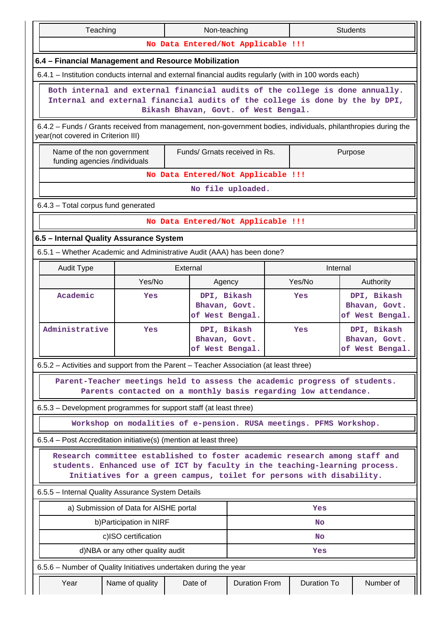| Teaching                                                                                                                                                     |                                    |                                                                     | Non-teaching<br><b>Students</b> |  |                    |                                                 |  |  |  |  |  |
|--------------------------------------------------------------------------------------------------------------------------------------------------------------|------------------------------------|---------------------------------------------------------------------|---------------------------------|--|--------------------|-------------------------------------------------|--|--|--|--|--|
|                                                                                                                                                              |                                    | No Data Entered/Not Applicable !!!                                  |                                 |  |                    |                                                 |  |  |  |  |  |
| 6.4 - Financial Management and Resource Mobilization                                                                                                         |                                    |                                                                     |                                 |  |                    |                                                 |  |  |  |  |  |
| 6.4.1 – Institution conducts internal and external financial audits regularly (with in 100 words each)                                                       |                                    |                                                                     |                                 |  |                    |                                                 |  |  |  |  |  |
| Both internal and external financial audits of the college is done annually.<br>Internal and external financial audits of the college is done by the by DPI, |                                    | Bikash Bhavan, Govt. of West Bengal.                                |                                 |  |                    |                                                 |  |  |  |  |  |
| 6.4.2 - Funds / Grants received from management, non-government bodies, individuals, philanthropies during the<br>year(not covered in Criterion III)         |                                    |                                                                     |                                 |  |                    |                                                 |  |  |  |  |  |
| Name of the non government<br>funding agencies /individuals                                                                                                  |                                    | Funds/ Grnats received in Rs.                                       |                                 |  |                    | Purpose                                         |  |  |  |  |  |
|                                                                                                                                                              | No Data Entered/Not Applicable !!! |                                                                     |                                 |  |                    |                                                 |  |  |  |  |  |
|                                                                                                                                                              |                                    |                                                                     | No file uploaded.               |  |                    |                                                 |  |  |  |  |  |
| 6.4.3 - Total corpus fund generated                                                                                                                          |                                    |                                                                     |                                 |  |                    |                                                 |  |  |  |  |  |
|                                                                                                                                                              |                                    | No Data Entered/Not Applicable !!!                                  |                                 |  |                    |                                                 |  |  |  |  |  |
| 6.5 - Internal Quality Assurance System                                                                                                                      |                                    |                                                                     |                                 |  |                    |                                                 |  |  |  |  |  |
| 6.5.1 - Whether Academic and Administrative Audit (AAA) has been done?                                                                                       |                                    |                                                                     |                                 |  |                    |                                                 |  |  |  |  |  |
| <b>Audit Type</b>                                                                                                                                            |                                    | External                                                            |                                 |  | Internal           |                                                 |  |  |  |  |  |
|                                                                                                                                                              | Yes/No                             | Agency                                                              |                                 |  | Yes/No             | Authority                                       |  |  |  |  |  |
| Academic                                                                                                                                                     | Yes                                | DPI, Bikash<br>Bhavan, Govt.<br>of West Bengal.                     | Yes                             |  |                    | DPI, Bikash<br>Bhavan, Govt.<br>of West Bengal. |  |  |  |  |  |
| Administrative                                                                                                                                               | Yes                                | DPI, Bikash<br>Bhavan, Govt.<br>of West Bengal.                     |                                 |  | Yes                | DPI, Bikash<br>Bhavan, Govt.<br>of West Bengal. |  |  |  |  |  |
| 6.5.2 – Activities and support from the Parent – Teacher Association (at least three)                                                                        |                                    |                                                                     |                                 |  |                    |                                                 |  |  |  |  |  |
| Parent-Teacher meetings held to assess the academic progress of students.                                                                                    |                                    | Parents contacted on a monthly basis regarding low attendance.      |                                 |  |                    |                                                 |  |  |  |  |  |
| 6.5.3 – Development programmes for support staff (at least three)                                                                                            |                                    |                                                                     |                                 |  |                    |                                                 |  |  |  |  |  |
|                                                                                                                                                              |                                    | Workshop on modalities of e-pension. RUSA meetings. PFMS Workshop.  |                                 |  |                    |                                                 |  |  |  |  |  |
| 6.5.4 – Post Accreditation initiative(s) (mention at least three)                                                                                            |                                    |                                                                     |                                 |  |                    |                                                 |  |  |  |  |  |
| Research committee established to foster academic research among staff and<br>students. Enhanced use of ICT by faculty in the teaching-learning process.     |                                    | Initiatives for a green campus, toilet for persons with disability. |                                 |  |                    |                                                 |  |  |  |  |  |
| 6.5.5 - Internal Quality Assurance System Details                                                                                                            |                                    |                                                                     |                                 |  |                    |                                                 |  |  |  |  |  |
| a) Submission of Data for AISHE portal                                                                                                                       |                                    |                                                                     |                                 |  | Yes                |                                                 |  |  |  |  |  |
|                                                                                                                                                              | b) Participation in NIRF           |                                                                     |                                 |  | No                 |                                                 |  |  |  |  |  |
|                                                                                                                                                              | c)ISO certification                |                                                                     |                                 |  | No                 |                                                 |  |  |  |  |  |
|                                                                                                                                                              | d)NBA or any other quality audit   |                                                                     |                                 |  | Yes                |                                                 |  |  |  |  |  |
| 6.5.6 – Number of Quality Initiatives undertaken during the year                                                                                             |                                    |                                                                     |                                 |  |                    |                                                 |  |  |  |  |  |
| Year                                                                                                                                                         | Name of quality                    | Date of                                                             | <b>Duration From</b>            |  | <b>Duration To</b> | Number of                                       |  |  |  |  |  |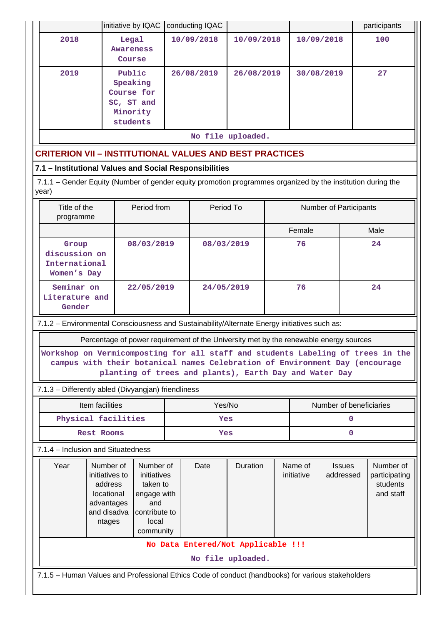|                                                                                                                                                                                                                                                                                                                   |                                                                                              | initiative by IQAC                  |                                                                                                   | conducting IQAC |                   |                        |                       |                            |      | participants                                        |  |  |  |
|-------------------------------------------------------------------------------------------------------------------------------------------------------------------------------------------------------------------------------------------------------------------------------------------------------------------|----------------------------------------------------------------------------------------------|-------------------------------------|---------------------------------------------------------------------------------------------------|-----------------|-------------------|------------------------|-----------------------|----------------------------|------|-----------------------------------------------------|--|--|--|
| 2018                                                                                                                                                                                                                                                                                                              |                                                                                              | Legal<br><b>Awareness</b><br>Course |                                                                                                   | 10/09/2018      | 10/09/2018        |                        | 10/09/2018            |                            |      | 100                                                 |  |  |  |
| 2019                                                                                                                                                                                                                                                                                                              | Public<br>Speaking<br>Course for<br>SC, ST and<br>Minority<br>students                       |                                     | 26/08/2019                                                                                        |                 | 26/08/2019        |                        | 30/08/2019            |                            |      | 27                                                  |  |  |  |
| No file uploaded.                                                                                                                                                                                                                                                                                                 |                                                                                              |                                     |                                                                                                   |                 |                   |                        |                       |                            |      |                                                     |  |  |  |
| <b>CRITERION VII - INSTITUTIONAL VALUES AND BEST PRACTICES</b>                                                                                                                                                                                                                                                    |                                                                                              |                                     |                                                                                                   |                 |                   |                        |                       |                            |      |                                                     |  |  |  |
| 7.1 - Institutional Values and Social Responsibilities                                                                                                                                                                                                                                                            |                                                                                              |                                     |                                                                                                   |                 |                   |                        |                       |                            |      |                                                     |  |  |  |
| 7.1.1 - Gender Equity (Number of gender equity promotion programmes organized by the institution during the<br>year)                                                                                                                                                                                              |                                                                                              |                                     |                                                                                                   |                 |                   |                        |                       |                            |      |                                                     |  |  |  |
| Title of the<br>programme                                                                                                                                                                                                                                                                                         | Period from                                                                                  |                                     |                                                                                                   | Period To       |                   | Number of Participants |                       |                            |      |                                                     |  |  |  |
|                                                                                                                                                                                                                                                                                                                   |                                                                                              |                                     |                                                                                                   |                 |                   | Female                 |                       |                            | Male |                                                     |  |  |  |
| Group<br>discussion on<br>International<br>Women's Day                                                                                                                                                                                                                                                            |                                                                                              | 08/03/2019                          |                                                                                                   | 08/03/2019      |                   | 76                     |                       |                            | 24   |                                                     |  |  |  |
| Seminar on<br>Literature and<br>Gender                                                                                                                                                                                                                                                                            |                                                                                              | 22/05/2019                          |                                                                                                   | 24/05/2019      |                   | 76                     |                       |                            | 24   |                                                     |  |  |  |
|                                                                                                                                                                                                                                                                                                                   | 7.1.2 - Environmental Consciousness and Sustainability/Alternate Energy initiatives such as: |                                     |                                                                                                   |                 |                   |                        |                       |                            |      |                                                     |  |  |  |
| Percentage of power requirement of the University met by the renewable energy sources<br>Workshop on Vermicomposting for all staff and students Labeling of trees in the<br>campus with their botanical names Celebration of Environment Day (encourage<br>planting of trees and plants), Earth Day and Water Day |                                                                                              |                                     |                                                                                                   |                 |                   |                        |                       |                            |      |                                                     |  |  |  |
| 7.1.3 - Differently abled (Divyangjan) friendliness                                                                                                                                                                                                                                                               |                                                                                              |                                     |                                                                                                   |                 |                   |                        |                       |                            |      |                                                     |  |  |  |
|                                                                                                                                                                                                                                                                                                                   | Item facilities                                                                              |                                     |                                                                                                   | Yes/No          |                   |                        |                       | Number of beneficiaries    |      |                                                     |  |  |  |
|                                                                                                                                                                                                                                                                                                                   | Physical facilities                                                                          |                                     |                                                                                                   | Yes             |                   |                        | $\mathbf 0$           |                            |      |                                                     |  |  |  |
|                                                                                                                                                                                                                                                                                                                   | <b>Rest Rooms</b>                                                                            |                                     |                                                                                                   | Yes             |                   |                        | $\mathbf 0$           |                            |      |                                                     |  |  |  |
| 7.1.4 - Inclusion and Situatedness                                                                                                                                                                                                                                                                                |                                                                                              |                                     |                                                                                                   |                 |                   |                        |                       |                            |      |                                                     |  |  |  |
| Year                                                                                                                                                                                                                                                                                                              | Number of<br>initiatives to<br>address<br>locational<br>advantages<br>and disadva<br>ntages  |                                     | Number of<br>initiatives<br>taken to<br>engage with<br>and<br>contribute to<br>local<br>community |                 | Duration          |                        | Name of<br>initiative | <b>Issues</b><br>addressed |      | Number of<br>participating<br>students<br>and staff |  |  |  |
|                                                                                                                                                                                                                                                                                                                   | No Data Entered/Not Applicable !!!                                                           |                                     |                                                                                                   |                 |                   |                        |                       |                            |      |                                                     |  |  |  |
|                                                                                                                                                                                                                                                                                                                   |                                                                                              |                                     |                                                                                                   |                 | No file uploaded. |                        |                       |                            |      |                                                     |  |  |  |
| 7.1.5 - Human Values and Professional Ethics Code of conduct (handbooks) for various stakeholders                                                                                                                                                                                                                 |                                                                                              |                                     |                                                                                                   |                 |                   |                        |                       |                            |      |                                                     |  |  |  |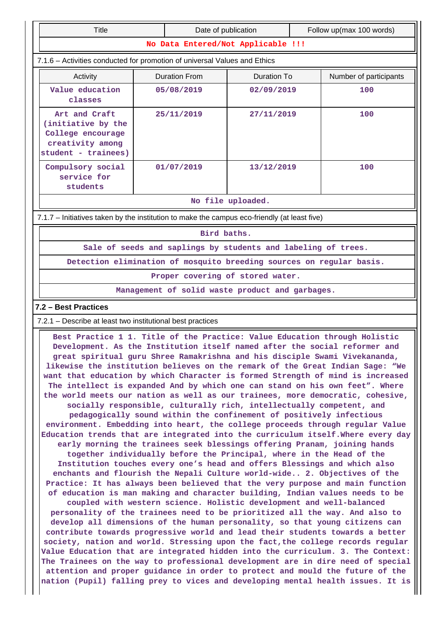| <b>Title</b>                                                                                                                                                                                                                                                                                                                                                                                              |                      |            | Date of publication                |  | Follow up(max 100 words) |  |  |  |  |  |
|-----------------------------------------------------------------------------------------------------------------------------------------------------------------------------------------------------------------------------------------------------------------------------------------------------------------------------------------------------------------------------------------------------------|----------------------|------------|------------------------------------|--|--------------------------|--|--|--|--|--|
|                                                                                                                                                                                                                                                                                                                                                                                                           |                      |            | No Data Entered/Not Applicable !!! |  |                          |  |  |  |  |  |
| 7.1.6 - Activities conducted for promotion of universal Values and Ethics                                                                                                                                                                                                                                                                                                                                 |                      |            |                                    |  |                          |  |  |  |  |  |
| Activity                                                                                                                                                                                                                                                                                                                                                                                                  | <b>Duration From</b> |            | <b>Duration To</b>                 |  | Number of participants   |  |  |  |  |  |
| Value education<br>classes                                                                                                                                                                                                                                                                                                                                                                                | 05/08/2019           |            | 02/09/2019                         |  | 100                      |  |  |  |  |  |
| Art and Craft<br>(initiative by the<br>College encourage<br>creativity among<br>student - trainees)                                                                                                                                                                                                                                                                                                       |                      | 25/11/2019 | 27/11/2019                         |  | 100                      |  |  |  |  |  |
| Compulsory social<br>service for<br>students                                                                                                                                                                                                                                                                                                                                                              |                      | 01/07/2019 | 13/12/2019                         |  | 100                      |  |  |  |  |  |
| No file uploaded.                                                                                                                                                                                                                                                                                                                                                                                         |                      |            |                                    |  |                          |  |  |  |  |  |
| 7.1.7 - Initiatives taken by the institution to make the campus eco-friendly (at least five)                                                                                                                                                                                                                                                                                                              |                      |            |                                    |  |                          |  |  |  |  |  |
| Bird baths.                                                                                                                                                                                                                                                                                                                                                                                               |                      |            |                                    |  |                          |  |  |  |  |  |
| Sale of seeds and saplings by students and labeling of trees.                                                                                                                                                                                                                                                                                                                                             |                      |            |                                    |  |                          |  |  |  |  |  |
| Detection elimination of mosquito breeding sources on regular basis.                                                                                                                                                                                                                                                                                                                                      |                      |            |                                    |  |                          |  |  |  |  |  |
| Proper covering of stored water.                                                                                                                                                                                                                                                                                                                                                                          |                      |            |                                    |  |                          |  |  |  |  |  |
| Management of solid waste product and garbages.                                                                                                                                                                                                                                                                                                                                                           |                      |            |                                    |  |                          |  |  |  |  |  |
| 7.2 - Best Practices                                                                                                                                                                                                                                                                                                                                                                                      |                      |            |                                    |  |                          |  |  |  |  |  |
| 7.2.1 – Describe at least two institutional best practices                                                                                                                                                                                                                                                                                                                                                |                      |            |                                    |  |                          |  |  |  |  |  |
| Best Practice 1 1. Title of the Practice: Value Education through Holistic<br>Development. As the Institution itself named after the social reformer and<br>great spiritual guru Shree Ramakrishna and his disciple Swami Vivekananda,<br>likewise the institution believes on the remark of the Great Indian Sage: "We<br>want that education by which Character is formed Strength of mind is increased |                      |            |                                    |  |                          |  |  |  |  |  |

**The intellect is expanded And by which one can stand on his own feet". Where the world meets our nation as well as our trainees, more democratic, cohesive, socially responsible, culturally rich, intellectually competent, and pedagogically sound within the confinement of positively infectious environment. Embedding into heart, the college proceeds through regular Value Education trends that are integrated into the curriculum itself.Where every day early morning the trainees seek blessings offering Pranam, joining hands together individually before the Principal, where in the Head of the Institution touches every one's head and offers Blessings and which also enchants and flourish the Nepali Culture world-wide.. 2. Objectives of the Practice: It has always been believed that the very purpose and main function of education is man making and character building, Indian values needs to be coupled with western science. Holistic development and well-balanced personality of the trainees need to be prioritized all the way. And also to develop all dimensions of the human personality, so that young citizens can contribute towards progressive world and lead their students towards a better society, nation and world. Stressing upon the fact,the college records regular Value Education that are integrated hidden into the curriculum. 3. The Context: The Trainees on the way to professional development are in dire need of special attention and proper guidance in order to protect and mould the future of the**

**nation (Pupil) falling prey to vices and developing mental health issues. It is**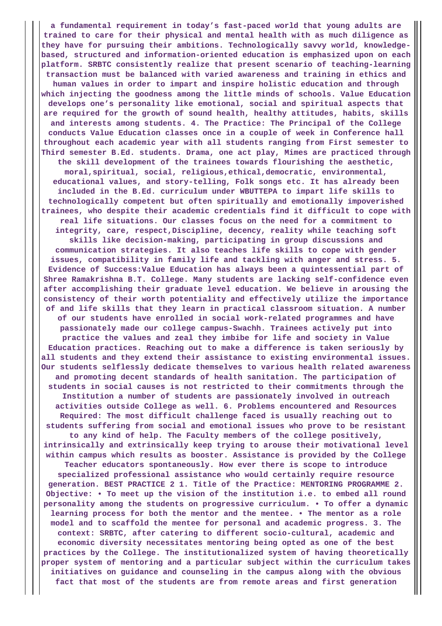**a fundamental requirement in today's fast-paced world that young adults are trained to care for their physical and mental health with as much diligence as they have for pursuing their ambitions. Technologically savvy world, knowledgebased, structured and information-oriented education is emphasized upon on each platform. SRBTC consistently realize that present scenario of teaching-learning transaction must be balanced with varied awareness and training in ethics and human values in order to impart and inspire holistic education and through which injecting the goodness among the little minds of schools. Value Education develops one's personality like emotional, social and spiritual aspects that are required for the growth of sound health, healthy attitudes, habits, skills and interests among students. 4. The Practice: The Principal of the College conducts Value Education classes once in a couple of week in Conference hall throughout each academic year with all students ranging from First semester to Third semester B.Ed. students. Drama, one act play, Mimes are practiced through the skill development of the trainees towards flourishing the aesthetic, moral,spiritual, social, religious,ethical,democratic, environmental, educational values, and story-telling, Folk songs etc. It has already been included in the B.Ed. curriculum under WBUTTEPA to impart life skills to technologically competent but often spiritually and emotionally impoverished trainees, who despite their academic credentials find it difficult to cope with real life situations. Our classes focus on the need for a commitment to integrity, care, respect,Discipline, decency, reality while teaching soft skills like decision-making, participating in group discussions and communication strategies. It also teaches life skills to cope with gender issues, compatibility in family life and tackling with anger and stress. 5. Evidence of Success:Value Education has always been a quintessential part of Shree Ramakrishna B.T. College. Many students are lacking self-confidence even after accomplishing their graduate level education. We believe in arousing the consistency of their worth potentiality and effectively utilize the importance of and life skills that they learn in practical classroom situation. A number of our students have enrolled in social work-related programmes and have passionately made our college campus-Swachh. Trainees actively put into practice the values and zeal they imbibe for life and society in Value Education practices. Reaching out to make a difference is taken seriously by all students and they extend their assistance to existing environmental issues. Our students selflessly dedicate themselves to various health related awareness and promoting decent standards of health sanitation. The participation of students in social causes is not restricted to their commitments through the Institution a number of students are passionately involved in outreach activities outside College as well. 6. Problems encountered and Resources Required: The most difficult challenge faced is usually reaching out to students suffering from social and emotional issues who prove to be resistant to any kind of help. The Faculty members of the college positively, intrinsically and extrinsically keep trying to arouse their motivational level within campus which results as booster. Assistance is provided by the College Teacher educators spontaneously. How ever there is scope to introduce specialized professional assistance who would certainly require resource generation. BEST PRACTICE 2 1. Title of the Practice: MENTORING PROGRAMME 2. Objective: • To meet up the vision of the institution i.e. to embed all round personality among the students on progressive curriculum. • To offer a dynamic learning process for both the mentor and the mentee. • The mentor as a role model and to scaffold the mentee for personal and academic progress. 3. The context: SRBTC, after catering to different socio-cultural, academic and economic diversity necessitates mentoring being opted as one of the best practices by the College. The institutionalized system of having theoretically proper system of mentoring and a particular subject within the curriculum takes initiatives on guidance and counseling in the campus along with the obvious fact that most of the students are from remote areas and first generation**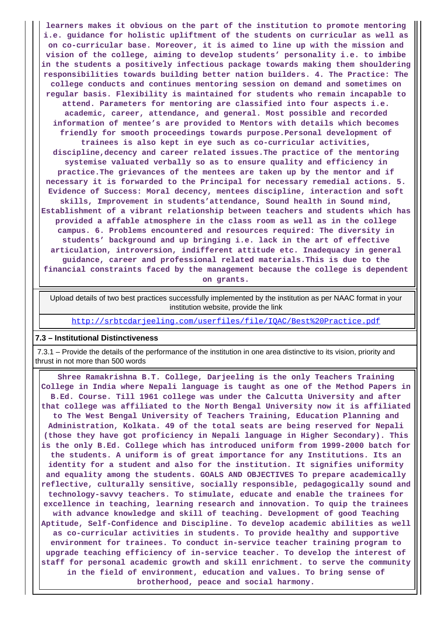**learners makes it obvious on the part of the institution to promote mentoring i.e. guidance for holistic upliftment of the students on curricular as well as on co-curricular base. Moreover, it is aimed to line up with the mission and vision of the college, aiming to develop students' personality i.e. to imbibe in the students a positively infectious package towards making them shouldering responsibilities towards building better nation builders. 4. The Practice: The college conducts and continues mentoring session on demand and sometimes on regular basis. Flexibility is maintained for students who remain incapable to attend. Parameters for mentoring are classified into four aspects i.e. academic, career, attendance, and general. Most possible and recorded information of mentee's are provided to Mentors with details which becomes friendly for smooth proceedings towards purpose.Personal development of trainees is also kept in eye such as co-curricular activities, discipline,decency and career related issues.The practice of the mentoring systemise valuated verbally so as to ensure quality and efficiency in practice.The grievances of the mentees are taken up by the mentor and if necessary it is forwarded to the Principal for necessary remedial actions. 5. Evidence of Success: Moral decency, mentees discipline, interaction and soft skills, Improvement in students'attendance, Sound health in Sound mind, Establishment of a vibrant relationship between teachers and students which has provided a affable atmosphere in the class room as well as in the college campus. 6. Problems encountered and resources required: The diversity in students' background and up bringing i.e. lack in the art of effective articulation, introversion, indifferent attitude etc. Inadequacy in general guidance, career and professional related materials.This is due to the financial constraints faced by the management because the college is dependent on grants.**

 Upload details of two best practices successfully implemented by the institution as per NAAC format in your institution website, provide the link

<http://srbtcdarjeeling.com/userfiles/file/IQAC/Best%20Practice.pdf>

#### **7.3 – Institutional Distinctiveness**

 7.3.1 – Provide the details of the performance of the institution in one area distinctive to its vision, priority and thrust in not more than 500 words

 **Shree Ramakrishna B.T. College, Darjeeling is the only Teachers Training College in India where Nepali language is taught as one of the Method Papers in B.Ed. Course. Till 1961 college was under the Calcutta University and after that college was affiliated to the North Bengal University now it is affiliated to The West Bengal University of Teachers Training, Education Planning and Administration, Kolkata. 49 of the total seats are being reserved for Nepali (those they have got proficiency in Nepali language in Higher Secondary). This is the only B.Ed. College which has introduced uniform from 1999-2000 batch for the students. A uniform is of great importance for any Institutions. Its an identity for a student and also for the institution. It signifies uniformity and equality among the students. GOALS AND OBJECTIVES To prepare academically reflective, culturally sensitive, socially responsible, pedagogically sound and technology-savvy teachers. To stimulate, educate and enable the trainees for excellence in teaching, learning research and innovation. To quip the trainees with advance knowledge and skill of teaching. Development of good Teaching Aptitude, Self-Confidence and Discipline. To develop academic abilities as well as co-curricular activities in students. To provide healthy and supportive environment for trainees. To conduct in-service teacher training program to upgrade teaching efficiency of in-service teacher. To develop the interest of staff for personal academic growth and skill enrichment. to serve the community in the field of environment, education and values. To bring sense of brotherhood, peace and social harmony.**